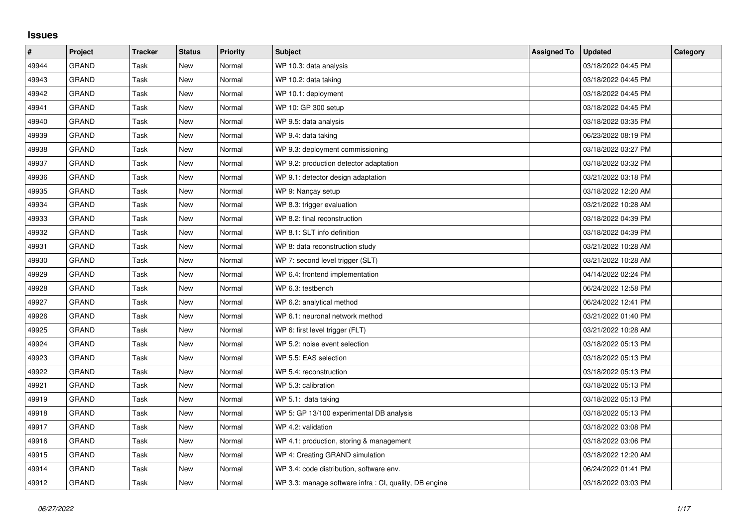## **Issues**

| $\vert$ # | Project      | <b>Tracker</b> | <b>Status</b> | <b>Priority</b> | <b>Subject</b>                                         | <b>Assigned To</b> | <b>Updated</b>      | Category |
|-----------|--------------|----------------|---------------|-----------------|--------------------------------------------------------|--------------------|---------------------|----------|
| 49944     | <b>GRAND</b> | Task           | <b>New</b>    | Normal          | WP 10.3: data analysis                                 |                    | 03/18/2022 04:45 PM |          |
| 49943     | <b>GRAND</b> | Task           | <b>New</b>    | Normal          | WP 10.2: data taking                                   |                    | 03/18/2022 04:45 PM |          |
| 49942     | <b>GRAND</b> | Task           | New           | Normal          | WP 10.1: deployment                                    |                    | 03/18/2022 04:45 PM |          |
| 49941     | <b>GRAND</b> | Task           | New           | Normal          | WP 10: GP 300 setup                                    |                    | 03/18/2022 04:45 PM |          |
| 49940     | <b>GRAND</b> | Task           | <b>New</b>    | Normal          | WP 9.5: data analysis                                  |                    | 03/18/2022 03:35 PM |          |
| 49939     | <b>GRAND</b> | Task           | <b>New</b>    | Normal          | WP 9.4: data taking                                    |                    | 06/23/2022 08:19 PM |          |
| 49938     | <b>GRAND</b> | Task           | <b>New</b>    | Normal          | WP 9.3: deployment commissioning                       |                    | 03/18/2022 03:27 PM |          |
| 49937     | <b>GRAND</b> | Task           | <b>New</b>    | Normal          | WP 9.2: production detector adaptation                 |                    | 03/18/2022 03:32 PM |          |
| 49936     | <b>GRAND</b> | Task           | <b>New</b>    | Normal          | WP 9.1: detector design adaptation                     |                    | 03/21/2022 03:18 PM |          |
| 49935     | <b>GRAND</b> | Task           | <b>New</b>    | Normal          | WP 9: Nançay setup                                     |                    | 03/18/2022 12:20 AM |          |
| 49934     | <b>GRAND</b> | Task           | New           | Normal          | WP 8.3: trigger evaluation                             |                    | 03/21/2022 10:28 AM |          |
| 49933     | <b>GRAND</b> | Task           | <b>New</b>    | Normal          | WP 8.2: final reconstruction                           |                    | 03/18/2022 04:39 PM |          |
| 49932     | <b>GRAND</b> | Task           | <b>New</b>    | Normal          | WP 8.1: SLT info definition                            |                    | 03/18/2022 04:39 PM |          |
| 49931     | <b>GRAND</b> | Task           | <b>New</b>    | Normal          | WP 8: data reconstruction study                        |                    | 03/21/2022 10:28 AM |          |
| 49930     | <b>GRAND</b> | Task           | <b>New</b>    | Normal          | WP 7: second level trigger (SLT)                       |                    | 03/21/2022 10:28 AM |          |
| 49929     | <b>GRAND</b> | Task           | <b>New</b>    | Normal          | WP 6.4: frontend implementation                        |                    | 04/14/2022 02:24 PM |          |
| 49928     | <b>GRAND</b> | Task           | <b>New</b>    | Normal          | WP 6.3: testbench                                      |                    | 06/24/2022 12:58 PM |          |
| 49927     | <b>GRAND</b> | Task           | New           | Normal          | WP 6.2: analytical method                              |                    | 06/24/2022 12:41 PM |          |
| 49926     | <b>GRAND</b> | Task           | <b>New</b>    | Normal          | WP 6.1: neuronal network method                        |                    | 03/21/2022 01:40 PM |          |
| 49925     | <b>GRAND</b> | Task           | New           | Normal          | WP 6: first level trigger (FLT)                        |                    | 03/21/2022 10:28 AM |          |
| 49924     | <b>GRAND</b> | Task           | <b>New</b>    | Normal          | WP 5.2: noise event selection                          |                    | 03/18/2022 05:13 PM |          |
| 49923     | <b>GRAND</b> | Task           | <b>New</b>    | Normal          | WP 5.5: EAS selection                                  |                    | 03/18/2022 05:13 PM |          |
| 49922     | <b>GRAND</b> | Task           | New           | Normal          | WP 5.4: reconstruction                                 |                    | 03/18/2022 05:13 PM |          |
| 49921     | <b>GRAND</b> | Task           | <b>New</b>    | Normal          | WP 5.3: calibration                                    |                    | 03/18/2022 05:13 PM |          |
| 49919     | <b>GRAND</b> | Task           | New           | Normal          | WP 5.1: data taking                                    |                    | 03/18/2022 05:13 PM |          |
| 49918     | GRAND        | Task           | New           | Normal          | WP 5: GP 13/100 experimental DB analysis               |                    | 03/18/2022 05:13 PM |          |
| 49917     | <b>GRAND</b> | Task           | New           | Normal          | WP 4.2: validation                                     |                    | 03/18/2022 03:08 PM |          |
| 49916     | <b>GRAND</b> | Task           | <b>New</b>    | Normal          | WP 4.1: production, storing & management               |                    | 03/18/2022 03:06 PM |          |
| 49915     | <b>GRAND</b> | Task           | <b>New</b>    | Normal          | WP 4: Creating GRAND simulation                        |                    | 03/18/2022 12:20 AM |          |
| 49914     | <b>GRAND</b> | Task           | <b>New</b>    | Normal          | WP 3.4: code distribution, software env.               |                    | 06/24/2022 01:41 PM |          |
| 49912     | <b>GRAND</b> | Task           | New           | Normal          | WP 3.3: manage software infra : CI, quality, DB engine |                    | 03/18/2022 03:03 PM |          |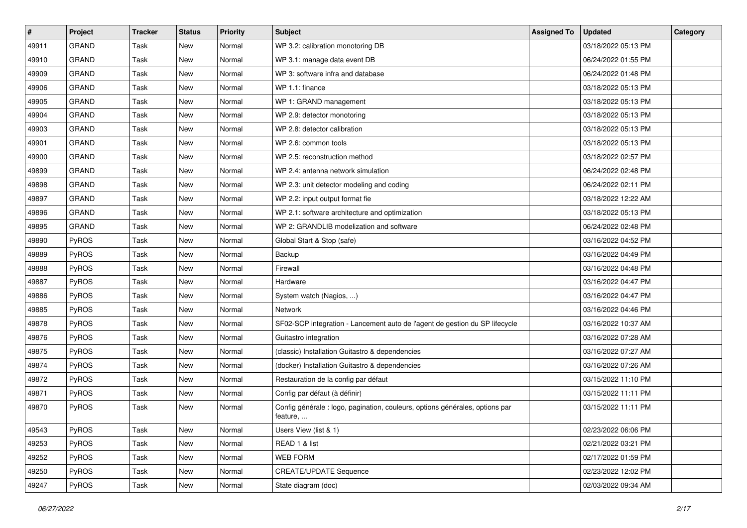| #     | Project      | <b>Tracker</b> | <b>Status</b> | <b>Priority</b> | <b>Subject</b>                                                                           | <b>Assigned To</b> | <b>Updated</b>      | Category |
|-------|--------------|----------------|---------------|-----------------|------------------------------------------------------------------------------------------|--------------------|---------------------|----------|
| 49911 | <b>GRAND</b> | Task           | <b>New</b>    | Normal          | WP 3.2: calibration monotoring DB                                                        |                    | 03/18/2022 05:13 PM |          |
| 49910 | <b>GRAND</b> | Task           | New           | Normal          | WP 3.1: manage data event DB                                                             |                    | 06/24/2022 01:55 PM |          |
| 49909 | <b>GRAND</b> | Task           | New           | Normal          | WP 3: software infra and database                                                        |                    | 06/24/2022 01:48 PM |          |
| 49906 | GRAND        | Task           | <b>New</b>    | Normal          | WP 1.1: finance                                                                          |                    | 03/18/2022 05:13 PM |          |
| 49905 | <b>GRAND</b> | Task           | <b>New</b>    | Normal          | WP 1: GRAND management                                                                   |                    | 03/18/2022 05:13 PM |          |
| 49904 | <b>GRAND</b> | Task           | <b>New</b>    | Normal          | WP 2.9: detector monotoring                                                              |                    | 03/18/2022 05:13 PM |          |
| 49903 | <b>GRAND</b> | Task           | <b>New</b>    | Normal          | WP 2.8: detector calibration                                                             |                    | 03/18/2022 05:13 PM |          |
| 49901 | <b>GRAND</b> | Task           | New           | Normal          | WP 2.6: common tools                                                                     |                    | 03/18/2022 05:13 PM |          |
| 49900 | <b>GRAND</b> | Task           | <b>New</b>    | Normal          | WP 2.5: reconstruction method                                                            |                    | 03/18/2022 02:57 PM |          |
| 49899 | <b>GRAND</b> | Task           | <b>New</b>    | Normal          | WP 2.4: antenna network simulation                                                       |                    | 06/24/2022 02:48 PM |          |
| 49898 | <b>GRAND</b> | Task           | <b>New</b>    | Normal          | WP 2.3: unit detector modeling and coding                                                |                    | 06/24/2022 02:11 PM |          |
| 49897 | <b>GRAND</b> | Task           | <b>New</b>    | Normal          | WP 2.2: input output format fie                                                          |                    | 03/18/2022 12:22 AM |          |
| 49896 | GRAND        | Task           | New           | Normal          | WP 2.1: software architecture and optimization                                           |                    | 03/18/2022 05:13 PM |          |
| 49895 | <b>GRAND</b> | Task           | <b>New</b>    | Normal          | WP 2: GRANDLIB modelization and software                                                 |                    | 06/24/2022 02:48 PM |          |
| 49890 | PyROS        | Task           | <b>New</b>    | Normal          | Global Start & Stop (safe)                                                               |                    | 03/16/2022 04:52 PM |          |
| 49889 | <b>PyROS</b> | Task           | New           | Normal          | Backup                                                                                   |                    | 03/16/2022 04:49 PM |          |
| 49888 | PyROS        | Task           | <b>New</b>    | Normal          | Firewall                                                                                 |                    | 03/16/2022 04:48 PM |          |
| 49887 | PyROS        | Task           | New           | Normal          | Hardware                                                                                 |                    | 03/16/2022 04:47 PM |          |
| 49886 | PyROS        | Task           | <b>New</b>    | Normal          | System watch (Nagios, )                                                                  |                    | 03/16/2022 04:47 PM |          |
| 49885 | PyROS        | Task           | <b>New</b>    | Normal          | <b>Network</b>                                                                           |                    | 03/16/2022 04:46 PM |          |
| 49878 | <b>PyROS</b> | Task           | <b>New</b>    | Normal          | SF02-SCP integration - Lancement auto de l'agent de gestion du SP lifecycle              |                    | 03/16/2022 10:37 AM |          |
| 49876 | PyROS        | Task           | <b>New</b>    | Normal          | Guitastro integration                                                                    |                    | 03/16/2022 07:28 AM |          |
| 49875 | PyROS        | Task           | New           | Normal          | (classic) Installation Guitastro & dependencies                                          |                    | 03/16/2022 07:27 AM |          |
| 49874 | PyROS        | Task           | <b>New</b>    | Normal          | (docker) Installation Guitastro & dependencies                                           |                    | 03/16/2022 07:26 AM |          |
| 49872 | PyROS        | Task           | <b>New</b>    | Normal          | Restauration de la config par défaut                                                     |                    | 03/15/2022 11:10 PM |          |
| 49871 | <b>PyROS</b> | Task           | New           | Normal          | Config par défaut (à définir)                                                            |                    | 03/15/2022 11:11 PM |          |
| 49870 | PyROS        | Task           | New           | Normal          | Config générale : logo, pagination, couleurs, options générales, options par<br>feature, |                    | 03/15/2022 11:11 PM |          |
| 49543 | PyROS        | Task           | New           | Normal          | Users View (list & 1)                                                                    |                    | 02/23/2022 06:06 PM |          |
| 49253 | PyROS        | Task           | New           | Normal          | READ 1 & list                                                                            |                    | 02/21/2022 03:21 PM |          |
| 49252 | PyROS        | Task           | New           | Normal          | <b>WEB FORM</b>                                                                          |                    | 02/17/2022 01:59 PM |          |
| 49250 | PyROS        | Task           | New           | Normal          | <b>CREATE/UPDATE Sequence</b>                                                            |                    | 02/23/2022 12:02 PM |          |
| 49247 | PyROS        | Task           | New           | Normal          | State diagram (doc)                                                                      |                    | 02/03/2022 09:34 AM |          |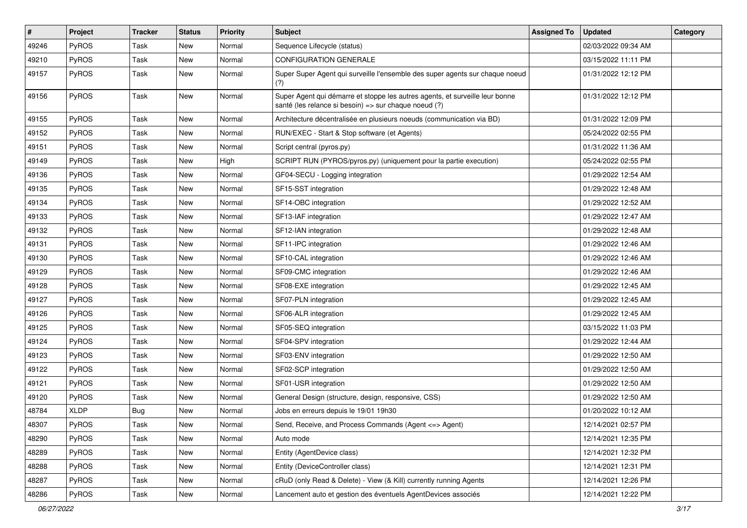| #     | Project      | <b>Tracker</b> | <b>Status</b> | <b>Priority</b> | Subject                                                                                                                               | <b>Assigned To</b> | <b>Updated</b>      | Category |
|-------|--------------|----------------|---------------|-----------------|---------------------------------------------------------------------------------------------------------------------------------------|--------------------|---------------------|----------|
| 49246 | PyROS        | Task           | <b>New</b>    | Normal          | Sequence Lifecycle (status)                                                                                                           |                    | 02/03/2022 09:34 AM |          |
| 49210 | PyROS        | Task           | New           | Normal          | CONFIGURATION GENERALE                                                                                                                |                    | 03/15/2022 11:11 PM |          |
| 49157 | PyROS        | Task           | New           | Normal          | Super Super Agent qui surveille l'ensemble des super agents sur chaque noeud<br>(?)                                                   |                    | 01/31/2022 12:12 PM |          |
| 49156 | PyROS        | Task           | New           | Normal          | Super Agent qui démarre et stoppe les autres agents, et surveille leur bonne<br>santé (les relance si besoin) => sur chaque noeud (?) |                    | 01/31/2022 12:12 PM |          |
| 49155 | PyROS        | Task           | <b>New</b>    | Normal          | Architecture décentralisée en plusieurs noeuds (communication via BD)                                                                 |                    | 01/31/2022 12:09 PM |          |
| 49152 | PyROS        | Task           | New           | Normal          | RUN/EXEC - Start & Stop software (et Agents)                                                                                          |                    | 05/24/2022 02:55 PM |          |
| 49151 | PyROS        | Task           | New           | Normal          | Script central (pyros.py)                                                                                                             |                    | 01/31/2022 11:36 AM |          |
| 49149 | PyROS        | Task           | <b>New</b>    | High            | SCRIPT RUN (PYROS/pyros.py) (uniquement pour la partie execution)                                                                     |                    | 05/24/2022 02:55 PM |          |
| 49136 | <b>PyROS</b> | Task           | New           | Normal          | GF04-SECU - Logging integration                                                                                                       |                    | 01/29/2022 12:54 AM |          |
| 49135 | PyROS        | Task           | <b>New</b>    | Normal          | SF15-SST integration                                                                                                                  |                    | 01/29/2022 12:48 AM |          |
| 49134 | PyROS        | Task           | <b>New</b>    | Normal          | SF14-OBC integration                                                                                                                  |                    | 01/29/2022 12:52 AM |          |
| 49133 | PyROS        | Task           | <b>New</b>    | Normal          | SF13-IAF integration                                                                                                                  |                    | 01/29/2022 12:47 AM |          |
| 49132 | PyROS        | Task           | <b>New</b>    | Normal          | SF12-IAN integration                                                                                                                  |                    | 01/29/2022 12:48 AM |          |
| 49131 | <b>PyROS</b> | Task           | <b>New</b>    | Normal          | SF11-IPC integration                                                                                                                  |                    | 01/29/2022 12:46 AM |          |
| 49130 | PyROS        | Task           | <b>New</b>    | Normal          | SF10-CAL integration                                                                                                                  |                    | 01/29/2022 12:46 AM |          |
| 49129 | PyROS        | Task           | <b>New</b>    | Normal          | SF09-CMC integration                                                                                                                  |                    | 01/29/2022 12:46 AM |          |
| 49128 | <b>PyROS</b> | Task           | New           | Normal          | SF08-EXE integration                                                                                                                  |                    | 01/29/2022 12:45 AM |          |
| 49127 | PyROS        | Task           | <b>New</b>    | Normal          | SF07-PLN integration                                                                                                                  |                    | 01/29/2022 12:45 AM |          |
| 49126 | PyROS        | Task           | New           | Normal          | SF06-ALR integration                                                                                                                  |                    | 01/29/2022 12:45 AM |          |
| 49125 | PyROS        | Task           | New           | Normal          | SF05-SEQ integration                                                                                                                  |                    | 03/15/2022 11:03 PM |          |
| 49124 | PyROS        | Task           | <b>New</b>    | Normal          | SF04-SPV integration                                                                                                                  |                    | 01/29/2022 12:44 AM |          |
| 49123 | <b>PyROS</b> | Task           | New           | Normal          | SF03-ENV integration                                                                                                                  |                    | 01/29/2022 12:50 AM |          |
| 49122 | PyROS        | Task           | <b>New</b>    | Normal          | SF02-SCP integration                                                                                                                  |                    | 01/29/2022 12:50 AM |          |
| 49121 | PyROS        | Task           | New           | Normal          | SF01-USR integration                                                                                                                  |                    | 01/29/2022 12:50 AM |          |
| 49120 | PyROS        | Task           | <b>New</b>    | Normal          | General Design (structure, design, responsive, CSS)                                                                                   |                    | 01/29/2022 12:50 AM |          |
| 48784 | <b>XLDP</b>  | Bug            | <b>New</b>    | Normal          | Jobs en erreurs depuis le 19/01 19h30                                                                                                 |                    | 01/20/2022 10:12 AM |          |
| 48307 | PyROS        | Task           | New           | Normal          | Send, Receive, and Process Commands (Agent <= > Agent)                                                                                |                    | 12/14/2021 02:57 PM |          |
| 48290 | <b>PyROS</b> | Task           | New           | Normal          | Auto mode                                                                                                                             |                    | 12/14/2021 12:35 PM |          |
| 48289 | PyROS        | Task           | New           | Normal          | Entity (AgentDevice class)                                                                                                            |                    | 12/14/2021 12:32 PM |          |
| 48288 | PyROS        | Task           | New           | Normal          | Entity (DeviceController class)                                                                                                       |                    | 12/14/2021 12:31 PM |          |
| 48287 | PyROS        | Task           | New           | Normal          | cRuD (only Read & Delete) - View (& Kill) currently running Agents                                                                    |                    | 12/14/2021 12:26 PM |          |
| 48286 | PyROS        | Task           | New           | Normal          | Lancement auto et gestion des éventuels AgentDevices associés                                                                         |                    | 12/14/2021 12:22 PM |          |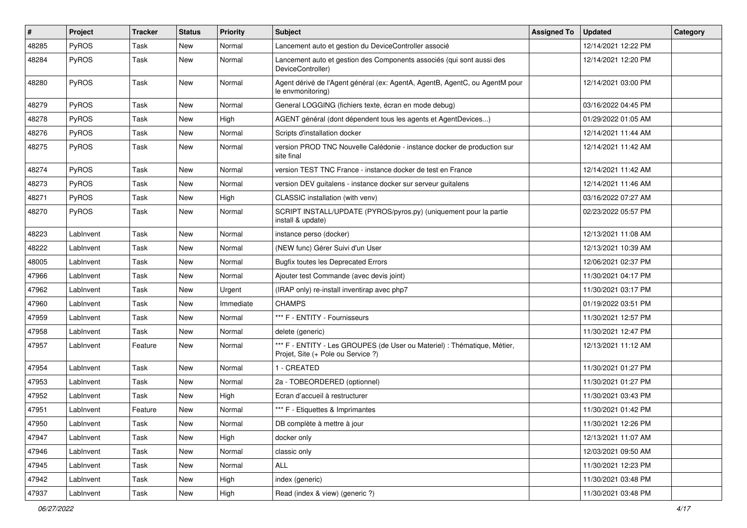| $\sharp$ | Project      | <b>Tracker</b> | <b>Status</b> | <b>Priority</b> | <b>Subject</b>                                                                                                 | <b>Assigned To</b> | <b>Updated</b>      | Category |
|----------|--------------|----------------|---------------|-----------------|----------------------------------------------------------------------------------------------------------------|--------------------|---------------------|----------|
| 48285    | PyROS        | Task           | <b>New</b>    | Normal          | Lancement auto et gestion du DeviceController associé                                                          |                    | 12/14/2021 12:22 PM |          |
| 48284    | PyROS        | Task           | New           | Normal          | Lancement auto et gestion des Components associés (qui sont aussi des<br>DeviceController)                     |                    | 12/14/2021 12:20 PM |          |
| 48280    | PyROS        | Task           | New           | Normal          | Agent dérivé de l'Agent général (ex: AgentA, AgentB, AgentC, ou AgentM pour<br>le envmonitoring)               |                    | 12/14/2021 03:00 PM |          |
| 48279    | <b>PyROS</b> | Task           | New           | Normal          | General LOGGING (fichiers texte, écran en mode debug)                                                          |                    | 03/16/2022 04:45 PM |          |
| 48278    | PyROS        | Task           | New           | High            | AGENT général (dont dépendent tous les agents et AgentDevices)                                                 |                    | 01/29/2022 01:05 AM |          |
| 48276    | <b>PyROS</b> | Task           | New           | Normal          | Scripts d'installation docker                                                                                  |                    | 12/14/2021 11:44 AM |          |
| 48275    | PyROS        | Task           | New           | Normal          | version PROD TNC Nouvelle Calédonie - instance docker de production sur<br>site final                          |                    | 12/14/2021 11:42 AM |          |
| 48274    | <b>PyROS</b> | Task           | New           | Normal          | version TEST TNC France - instance docker de test en France                                                    |                    | 12/14/2021 11:42 AM |          |
| 48273    | PyROS        | Task           | New           | Normal          | version DEV guitalens - instance docker sur serveur guitalens                                                  |                    | 12/14/2021 11:46 AM |          |
| 48271    | PyROS        | Task           | <b>New</b>    | High            | CLASSIC installation (with venv)                                                                               |                    | 03/16/2022 07:27 AM |          |
| 48270    | <b>PyROS</b> | Task           | New           | Normal          | SCRIPT INSTALL/UPDATE (PYROS/pyros.py) (uniquement pour la partie<br>install & update)                         |                    | 02/23/2022 05:57 PM |          |
| 48223    | LabInvent    | Task           | New           | Normal          | instance perso (docker)                                                                                        |                    | 12/13/2021 11:08 AM |          |
| 48222    | LabInvent    | Task           | New           | Normal          | (NEW func) Gérer Suivi d'un User                                                                               |                    | 12/13/2021 10:39 AM |          |
| 48005    | LabInvent    | Task           | <b>New</b>    | Normal          | <b>Bugfix toutes les Deprecated Errors</b>                                                                     |                    | 12/06/2021 02:37 PM |          |
| 47966    | LabInvent    | Task           | New           | Normal          | Ajouter test Commande (avec devis joint)                                                                       |                    | 11/30/2021 04:17 PM |          |
| 47962    | LabInvent    | Task           | New           | Urgent          | (IRAP only) re-install inventirap avec php7                                                                    |                    | 11/30/2021 03:17 PM |          |
| 47960    | LabInvent    | Task           | <b>New</b>    | Immediate       | <b>CHAMPS</b>                                                                                                  |                    | 01/19/2022 03:51 PM |          |
| 47959    | LabInvent    | Task           | New           | Normal          | *** F - ENTITY - Fournisseurs                                                                                  |                    | 11/30/2021 12:57 PM |          |
| 47958    | LabInvent    | Task           | New           | Normal          | delete (generic)                                                                                               |                    | 11/30/2021 12:47 PM |          |
| 47957    | LabInvent    | Feature        | New           | Normal          | *** F - ENTITY - Les GROUPES (de User ou Materiel) : Thématique, Métier,<br>Projet, Site (+ Pole ou Service ?) |                    | 12/13/2021 11:12 AM |          |
| 47954    | LabInvent    | Task           | New           | Normal          | 1 - CREATED                                                                                                    |                    | 11/30/2021 01:27 PM |          |
| 47953    | LabInvent    | Task           | New           | Normal          | 2a - TOBEORDERED (optionnel)                                                                                   |                    | 11/30/2021 01:27 PM |          |
| 47952    | LabInvent    | Task           | New           | High            | Ecran d'accueil à restructurer                                                                                 |                    | 11/30/2021 03:43 PM |          |
| 47951    | LabInvent    | Feature        | <b>New</b>    | Normal          | *** F - Etiquettes & Imprimantes                                                                               |                    | 11/30/2021 01:42 PM |          |
| 47950    | LabInvent    | Task           | New           | Normal          | DB complète à mettre à jour                                                                                    |                    | 11/30/2021 12:26 PM |          |
| 47947    | LabInvent    | Task           | New           | High            | docker only                                                                                                    |                    | 12/13/2021 11:07 AM |          |
| 47946    | LabInvent    | Task           | New           | Normal          | classic only                                                                                                   |                    | 12/03/2021 09:50 AM |          |
| 47945    | LabInvent    | Task           | New           | Normal          | ALL                                                                                                            |                    | 11/30/2021 12:23 PM |          |
| 47942    | LabInvent    | Task           | New           | High            | index (generic)                                                                                                |                    | 11/30/2021 03:48 PM |          |
| 47937    | LabInvent    | Task           | New           | High            | Read (index & view) (generic ?)                                                                                |                    | 11/30/2021 03:48 PM |          |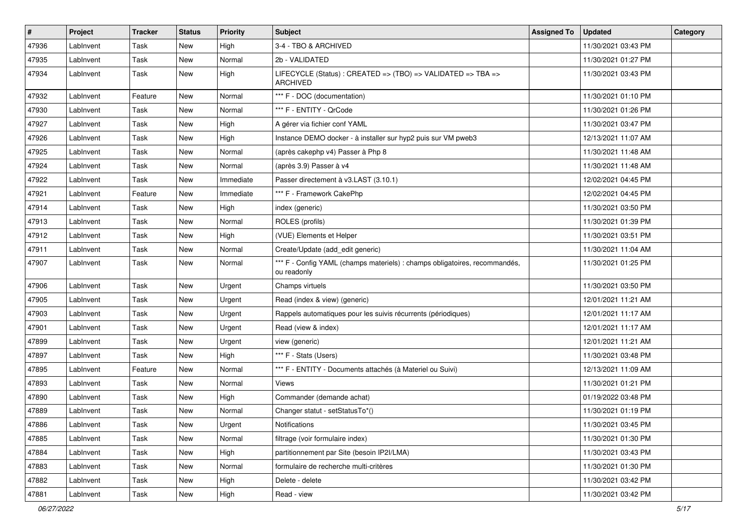| $\pmb{\#}$ | Project   | <b>Tracker</b> | <b>Status</b> | <b>Priority</b> | <b>Subject</b>                                                                            | <b>Assigned To</b> | <b>Updated</b>      | Category |
|------------|-----------|----------------|---------------|-----------------|-------------------------------------------------------------------------------------------|--------------------|---------------------|----------|
| 47936      | LabInvent | Task           | <b>New</b>    | High            | 3-4 - TBO & ARCHIVED                                                                      |                    | 11/30/2021 03:43 PM |          |
| 47935      | LabInvent | Task           | New           | Normal          | 2b - VALIDATED                                                                            |                    | 11/30/2021 01:27 PM |          |
| 47934      | LabInvent | Task           | New           | High            | LIFECYCLE (Status): CREATED => (TBO) => VALIDATED => TBA =><br><b>ARCHIVED</b>            |                    | 11/30/2021 03:43 PM |          |
| 47932      | LabInvent | Feature        | <b>New</b>    | Normal          | *** F - DOC (documentation)                                                               |                    | 11/30/2021 01:10 PM |          |
| 47930      | LabInvent | Task           | <b>New</b>    | Normal          | *** F - ENTITY - QrCode                                                                   |                    | 11/30/2021 01:26 PM |          |
| 47927      | LabInvent | Task           | <b>New</b>    | High            | A gérer via fichier conf YAML                                                             |                    | 11/30/2021 03:47 PM |          |
| 47926      | LabInvent | Task           | New           | High            | Instance DEMO docker - à installer sur hyp2 puis sur VM pweb3                             |                    | 12/13/2021 11:07 AM |          |
| 47925      | LabInvent | Task           | New           | Normal          | (après cakephp v4) Passer à Php 8                                                         |                    | 11/30/2021 11:48 AM |          |
| 47924      | LabInvent | Task           | <b>New</b>    | Normal          | (après 3.9) Passer à v4                                                                   |                    | 11/30/2021 11:48 AM |          |
| 47922      | LabInvent | Task           | New           | Immediate       | Passer directement à v3.LAST (3.10.1)                                                     |                    | 12/02/2021 04:45 PM |          |
| 47921      | LabInvent | Feature        | <b>New</b>    | Immediate       | *** F - Framework CakePhp                                                                 |                    | 12/02/2021 04:45 PM |          |
| 47914      | LabInvent | Task           | New           | High            | index (generic)                                                                           |                    | 11/30/2021 03:50 PM |          |
| 47913      | LabInvent | Task           | <b>New</b>    | Normal          | ROLES (profils)                                                                           |                    | 11/30/2021 01:39 PM |          |
| 47912      | LabInvent | Task           | <b>New</b>    | High            | (VUE) Elements et Helper                                                                  |                    | 11/30/2021 03:51 PM |          |
| 47911      | LabInvent | Task           | <b>New</b>    | Normal          | Create/Update (add edit generic)                                                          |                    | 11/30/2021 11:04 AM |          |
| 47907      | LabInvent | Task           | New           | Normal          | *** F - Config YAML (champs materiels) : champs obligatoires, recommandés,<br>ou readonly |                    | 11/30/2021 01:25 PM |          |
| 47906      | LabInvent | Task           | <b>New</b>    | Urgent          | Champs virtuels                                                                           |                    | 11/30/2021 03:50 PM |          |
| 47905      | LabInvent | Task           | <b>New</b>    | Urgent          | Read (index & view) (generic)                                                             |                    | 12/01/2021 11:21 AM |          |
| 47903      | LabInvent | Task           | New           | Urgent          | Rappels automatiques pour les suivis récurrents (périodiques)                             |                    | 12/01/2021 11:17 AM |          |
| 47901      | LabInvent | Task           | New           | Urgent          | Read (view & index)                                                                       |                    | 12/01/2021 11:17 AM |          |
| 47899      | LabInvent | Task           | New           | Urgent          | view (generic)                                                                            |                    | 12/01/2021 11:21 AM |          |
| 47897      | LabInvent | Task           | New           | High            | *** F - Stats (Users)                                                                     |                    | 11/30/2021 03:48 PM |          |
| 47895      | LabInvent | Feature        | <b>New</b>    | Normal          | *** F - ENTITY - Documents attachés (à Materiel ou Suivi)                                 |                    | 12/13/2021 11:09 AM |          |
| 47893      | LabInvent | Task           | New           | Normal          | <b>Views</b>                                                                              |                    | 11/30/2021 01:21 PM |          |
| 47890      | LabInvent | Task           | New           | High            | Commander (demande achat)                                                                 |                    | 01/19/2022 03:48 PM |          |
| 47889      | LabInvent | Task           | <b>New</b>    | Normal          | Changer statut - setStatusTo*()                                                           |                    | 11/30/2021 01:19 PM |          |
| 47886      | LabInvent | Task           | New           | Urgent          | Notifications                                                                             |                    | 11/30/2021 03:45 PM |          |
| 47885      | LabInvent | Task           | New           | Normal          | filtrage (voir formulaire index)                                                          |                    | 11/30/2021 01:30 PM |          |
| 47884      | LabInvent | Task           | <b>New</b>    | High            | partitionnement par Site (besoin IP2I/LMA)                                                |                    | 11/30/2021 03:43 PM |          |
| 47883      | LabInvent | Task           | New           | Normal          | formulaire de recherche multi-critères                                                    |                    | 11/30/2021 01:30 PM |          |
| 47882      | LabInvent | Task           | <b>New</b>    | High            | Delete - delete                                                                           |                    | 11/30/2021 03:42 PM |          |
| 47881      | LabInvent | Task           | New           | High            | Read - view                                                                               |                    | 11/30/2021 03:42 PM |          |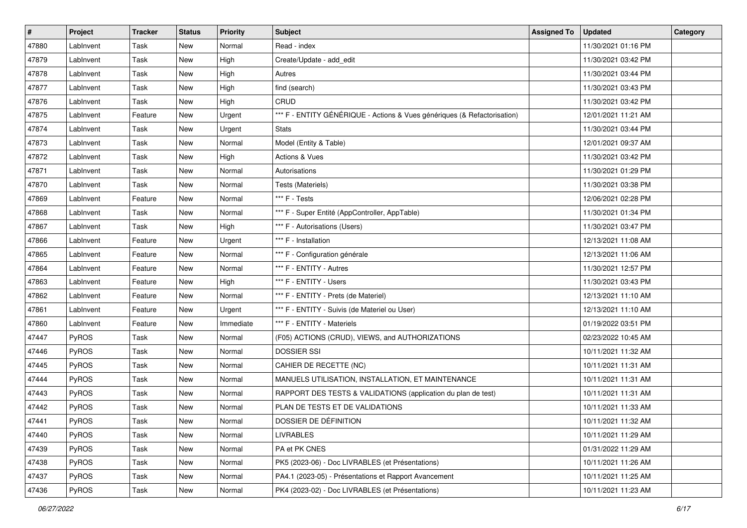| #     | Project      | <b>Tracker</b> | <b>Status</b> | <b>Priority</b> | <b>Subject</b>                                                           | <b>Assigned To</b> | <b>Updated</b>      | Category |
|-------|--------------|----------------|---------------|-----------------|--------------------------------------------------------------------------|--------------------|---------------------|----------|
| 47880 | LabInvent    | Task           | <b>New</b>    | Normal          | Read - index                                                             |                    | 11/30/2021 01:16 PM |          |
| 47879 | LabInvent    | Task           | New           | High            | Create/Update - add_edit                                                 |                    | 11/30/2021 03:42 PM |          |
| 47878 | LabInvent    | Task           | New           | High            | Autres                                                                   |                    | 11/30/2021 03:44 PM |          |
| 47877 | LabInvent    | Task           | New           | High            | find (search)                                                            |                    | 11/30/2021 03:43 PM |          |
| 47876 | LabInvent    | Task           | New           | High            | CRUD                                                                     |                    | 11/30/2021 03:42 PM |          |
| 47875 | LabInvent    | Feature        | New           | Urgent          | *** F - ENTITY GÉNÉRIQUE - Actions & Vues génériques (& Refactorisation) |                    | 12/01/2021 11:21 AM |          |
| 47874 | LabInvent    | Task           | <b>New</b>    | Urgent          | <b>Stats</b>                                                             |                    | 11/30/2021 03:44 PM |          |
| 47873 | LabInvent    | Task           | New           | Normal          | Model (Entity & Table)                                                   |                    | 12/01/2021 09:37 AM |          |
| 47872 | LabInvent    | Task           | New           | High            | Actions & Vues                                                           |                    | 11/30/2021 03:42 PM |          |
| 47871 | LabInvent    | Task           | New           | Normal          | Autorisations                                                            |                    | 11/30/2021 01:29 PM |          |
| 47870 | LabInvent    | Task           | New           | Normal          | Tests (Materiels)                                                        |                    | 11/30/2021 03:38 PM |          |
| 47869 | LabInvent    | Feature        | <b>New</b>    | Normal          | *** F - Tests                                                            |                    | 12/06/2021 02:28 PM |          |
| 47868 | LabInvent    | Task           | New           | Normal          | *** F - Super Entité (AppController, AppTable)                           |                    | 11/30/2021 01:34 PM |          |
| 47867 | LabInvent    | Task           | New           | High            | *** F - Autorisations (Users)                                            |                    | 11/30/2021 03:47 PM |          |
| 47866 | LabInvent    | Feature        | <b>New</b>    | Urgent          | *** F - Installation                                                     |                    | 12/13/2021 11:08 AM |          |
| 47865 | LabInvent    | Feature        | New           | Normal          | *** F - Configuration générale                                           |                    | 12/13/2021 11:06 AM |          |
| 47864 | LabInvent    | Feature        | <b>New</b>    | Normal          | *** F - ENTITY - Autres                                                  |                    | 11/30/2021 12:57 PM |          |
| 47863 | LabInvent    | Feature        | New           | High            | *** F - ENTITY - Users                                                   |                    | 11/30/2021 03:43 PM |          |
| 47862 | LabInvent    | Feature        | New           | Normal          | *** F - ENTITY - Prets (de Materiel)                                     |                    | 12/13/2021 11:10 AM |          |
| 47861 | LabInvent    | Feature        | <b>New</b>    | Urgent          | *** F - ENTITY - Suivis (de Materiel ou User)                            |                    | 12/13/2021 11:10 AM |          |
| 47860 | LabInvent    | Feature        | New           | Immediate       | *** F - ENTITY - Materiels                                               |                    | 01/19/2022 03:51 PM |          |
| 47447 | PyROS        | Task           | New           | Normal          | (F05) ACTIONS (CRUD), VIEWS, and AUTHORIZATIONS                          |                    | 02/23/2022 10:45 AM |          |
| 47446 | PyROS        | Task           | New           | Normal          | <b>DOSSIER SSI</b>                                                       |                    | 10/11/2021 11:32 AM |          |
| 47445 | PyROS        | Task           | <b>New</b>    | Normal          | CAHIER DE RECETTE (NC)                                                   |                    | 10/11/2021 11:31 AM |          |
| 47444 | PyROS        | Task           | <b>New</b>    | Normal          | MANUELS UTILISATION, INSTALLATION, ET MAINTENANCE                        |                    | 10/11/2021 11:31 AM |          |
| 47443 | <b>PyROS</b> | Task           | New           | Normal          | RAPPORT DES TESTS & VALIDATIONS (application du plan de test)            |                    | 10/11/2021 11:31 AM |          |
| 47442 | PyROS        | Task           | New           | Normal          | PLAN DE TESTS ET DE VALIDATIONS                                          |                    | 10/11/2021 11:33 AM |          |
| 47441 | PyROS        | Task           | New           | Normal          | DOSSIER DE DÉFINITION                                                    |                    | 10/11/2021 11:32 AM |          |
| 47440 | PyROS        | Task           | New           | Normal          | <b>LIVRABLES</b>                                                         |                    | 10/11/2021 11:29 AM |          |
| 47439 | PyROS        | Task           | New           | Normal          | PA et PK CNES                                                            |                    | 01/31/2022 11:29 AM |          |
| 47438 | PyROS        | Task           | New           | Normal          | PK5 (2023-06) - Doc LIVRABLES (et Présentations)                         |                    | 10/11/2021 11:26 AM |          |
| 47437 | PyROS        | Task           | New           | Normal          | PA4.1 (2023-05) - Présentations et Rapport Avancement                    |                    | 10/11/2021 11:25 AM |          |
| 47436 | PyROS        | Task           | New           | Normal          | PK4 (2023-02) - Doc LIVRABLES (et Présentations)                         |                    | 10/11/2021 11:23 AM |          |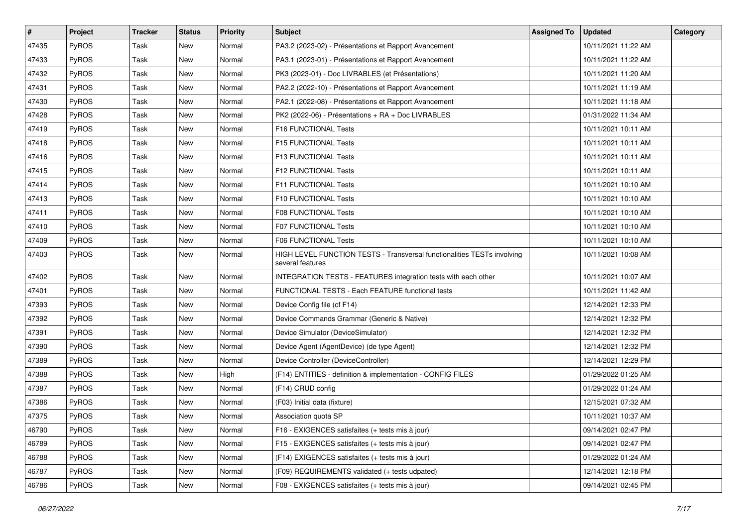| $\vert$ # | Project | <b>Tracker</b> | <b>Status</b> | <b>Priority</b> | <b>Subject</b>                                                                              | <b>Assigned To</b> | <b>Updated</b>      | Category |
|-----------|---------|----------------|---------------|-----------------|---------------------------------------------------------------------------------------------|--------------------|---------------------|----------|
| 47435     | PyROS   | Task           | <b>New</b>    | Normal          | PA3.2 (2023-02) - Présentations et Rapport Avancement                                       |                    | 10/11/2021 11:22 AM |          |
| 47433     | PyROS   | Task           | New           | Normal          | PA3.1 (2023-01) - Présentations et Rapport Avancement                                       |                    | 10/11/2021 11:22 AM |          |
| 47432     | PyROS   | Task           | New           | Normal          | PK3 (2023-01) - Doc LIVRABLES (et Présentations)                                            |                    | 10/11/2021 11:20 AM |          |
| 47431     | PyROS   | Task           | New           | Normal          | PA2.2 (2022-10) - Présentations et Rapport Avancement                                       |                    | 10/11/2021 11:19 AM |          |
| 47430     | PyROS   | Task           | <b>New</b>    | Normal          | PA2.1 (2022-08) - Présentations et Rapport Avancement                                       |                    | 10/11/2021 11:18 AM |          |
| 47428     | PyROS   | Task           | <b>New</b>    | Normal          | PK2 (2022-06) - Présentations + RA + Doc LIVRABLES                                          |                    | 01/31/2022 11:34 AM |          |
| 47419     | PyROS   | Task           | <b>New</b>    | Normal          | F16 FUNCTIONAL Tests                                                                        |                    | 10/11/2021 10:11 AM |          |
| 47418     | PyROS   | Task           | New           | Normal          | F15 FUNCTIONAL Tests                                                                        |                    | 10/11/2021 10:11 AM |          |
| 47416     | PyROS   | Task           | New           | Normal          | F13 FUNCTIONAL Tests                                                                        |                    | 10/11/2021 10:11 AM |          |
| 47415     | PyROS   | Task           | <b>New</b>    | Normal          | F12 FUNCTIONAL Tests                                                                        |                    | 10/11/2021 10:11 AM |          |
| 47414     | PyROS   | Task           | <b>New</b>    | Normal          | F11 FUNCTIONAL Tests                                                                        |                    | 10/11/2021 10:10 AM |          |
| 47413     | PyROS   | Task           | New           | Normal          | F10 FUNCTIONAL Tests                                                                        |                    | 10/11/2021 10:10 AM |          |
| 47411     | PyROS   | Task           | New           | Normal          | <b>F08 FUNCTIONAL Tests</b>                                                                 |                    | 10/11/2021 10:10 AM |          |
| 47410     | PyROS   | Task           | <b>New</b>    | Normal          | F07 FUNCTIONAL Tests                                                                        |                    | 10/11/2021 10:10 AM |          |
| 47409     | PyROS   | Task           | <b>New</b>    | Normal          | F06 FUNCTIONAL Tests                                                                        |                    | 10/11/2021 10:10 AM |          |
| 47403     | PyROS   | Task           | New           | Normal          | HIGH LEVEL FUNCTION TESTS - Transversal functionalities TESTs involving<br>several features |                    | 10/11/2021 10:08 AM |          |
| 47402     | PyROS   | Task           | <b>New</b>    | Normal          | INTEGRATION TESTS - FEATURES integration tests with each other                              |                    | 10/11/2021 10:07 AM |          |
| 47401     | PyROS   | Task           | New           | Normal          | FUNCTIONAL TESTS - Each FEATURE functional tests                                            |                    | 10/11/2021 11:42 AM |          |
| 47393     | PyROS   | Task           | <b>New</b>    | Normal          | Device Config file (cf F14)                                                                 |                    | 12/14/2021 12:33 PM |          |
| 47392     | PyROS   | Task           | New           | Normal          | Device Commands Grammar (Generic & Native)                                                  |                    | 12/14/2021 12:32 PM |          |
| 47391     | PyROS   | Task           | <b>New</b>    | Normal          | Device Simulator (DeviceSimulator)                                                          |                    | 12/14/2021 12:32 PM |          |
| 47390     | PyROS   | Task           | <b>New</b>    | Normal          | Device Agent (AgentDevice) (de type Agent)                                                  |                    | 12/14/2021 12:32 PM |          |
| 47389     | PyROS   | Task           | New           | Normal          | Device Controller (DeviceController)                                                        |                    | 12/14/2021 12:29 PM |          |
| 47388     | PyROS   | Task           | New           | High            | (F14) ENTITIES - definition & implementation - CONFIG FILES                                 |                    | 01/29/2022 01:25 AM |          |
| 47387     | PyROS   | Task           | New           | Normal          | (F14) CRUD config                                                                           |                    | 01/29/2022 01:24 AM |          |
| 47386     | PyROS   | Task           | New           | Normal          | (F03) Initial data (fixture)                                                                |                    | 12/15/2021 07:32 AM |          |
| 47375     | PyROS   | Task           | New           | Normal          | Association quota SP                                                                        |                    | 10/11/2021 10:37 AM |          |
| 46790     | PyROS   | Task           | New           | Normal          | F16 - EXIGENCES satisfaites (+ tests mis à jour)                                            |                    | 09/14/2021 02:47 PM |          |
| 46789     | PyROS   | Task           | New           | Normal          | F15 - EXIGENCES satisfaites (+ tests mis à jour)                                            |                    | 09/14/2021 02:47 PM |          |
| 46788     | PyROS   | Task           | New           | Normal          | (F14) EXIGENCES satisfaites (+ tests mis à jour)                                            |                    | 01/29/2022 01:24 AM |          |
| 46787     | PyROS   | Task           | New           | Normal          | (F09) REQUIREMENTS validated (+ tests udpated)                                              |                    | 12/14/2021 12:18 PM |          |
| 46786     | PyROS   | Task           | New           | Normal          | F08 - EXIGENCES satisfaites (+ tests mis à jour)                                            |                    | 09/14/2021 02:45 PM |          |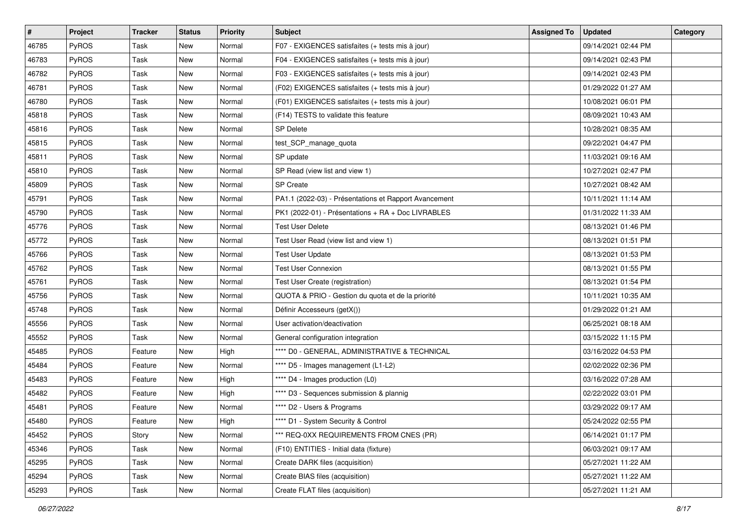| #     | Project      | <b>Tracker</b> | <b>Status</b> | <b>Priority</b> | <b>Subject</b>                                        | <b>Assigned To</b> | <b>Updated</b>      | Category |
|-------|--------------|----------------|---------------|-----------------|-------------------------------------------------------|--------------------|---------------------|----------|
| 46785 | PyROS        | Task           | <b>New</b>    | Normal          | F07 - EXIGENCES satisfaites (+ tests mis à jour)      |                    | 09/14/2021 02:44 PM |          |
| 46783 | PyROS        | Task           | <b>New</b>    | Normal          | F04 - EXIGENCES satisfaites (+ tests mis à jour)      |                    | 09/14/2021 02:43 PM |          |
| 46782 | <b>PyROS</b> | Task           | New           | Normal          | F03 - EXIGENCES satisfaites (+ tests mis à jour)      |                    | 09/14/2021 02:43 PM |          |
| 46781 | PyROS        | Task           | New           | Normal          | (F02) EXIGENCES satisfaites (+ tests mis à jour)      |                    | 01/29/2022 01:27 AM |          |
| 46780 | PyROS        | Task           | <b>New</b>    | Normal          | (F01) EXIGENCES satisfaites (+ tests mis à jour)      |                    | 10/08/2021 06:01 PM |          |
| 45818 | PyROS        | Task           | <b>New</b>    | Normal          | (F14) TESTS to validate this feature                  |                    | 08/09/2021 10:43 AM |          |
| 45816 | PyROS        | Task           | <b>New</b>    | Normal          | <b>SP Delete</b>                                      |                    | 10/28/2021 08:35 AM |          |
| 45815 | PyROS        | Task           | New           | Normal          | test_SCP_manage_quota                                 |                    | 09/22/2021 04:47 PM |          |
| 45811 | PyROS        | Task           | New           | Normal          | SP update                                             |                    | 11/03/2021 09:16 AM |          |
| 45810 | PyROS        | Task           | New           | Normal          | SP Read (view list and view 1)                        |                    | 10/27/2021 02:47 PM |          |
| 45809 | PyROS        | Task           | New           | Normal          | <b>SP Create</b>                                      |                    | 10/27/2021 08:42 AM |          |
| 45791 | PyROS        | Task           | New           | Normal          | PA1.1 (2022-03) - Présentations et Rapport Avancement |                    | 10/11/2021 11:14 AM |          |
| 45790 | PyROS        | Task           | New           | Normal          | PK1 (2022-01) - Présentations + RA + Doc LIVRABLES    |                    | 01/31/2022 11:33 AM |          |
| 45776 | PyROS        | Task           | <b>New</b>    | Normal          | <b>Test User Delete</b>                               |                    | 08/13/2021 01:46 PM |          |
| 45772 | PyROS        | Task           | <b>New</b>    | Normal          | Test User Read (view list and view 1)                 |                    | 08/13/2021 01:51 PM |          |
| 45766 | <b>PyROS</b> | Task           | New           | Normal          | <b>Test User Update</b>                               |                    | 08/13/2021 01:53 PM |          |
| 45762 | PyROS        | Task           | New           | Normal          | <b>Test User Connexion</b>                            |                    | 08/13/2021 01:55 PM |          |
| 45761 | PyROS        | Task           | New           | Normal          | Test User Create (registration)                       |                    | 08/13/2021 01:54 PM |          |
| 45756 | PyROS        | Task           | New           | Normal          | QUOTA & PRIO - Gestion du quota et de la priorité     |                    | 10/11/2021 10:35 AM |          |
| 45748 | PyROS        | Task           | <b>New</b>    | Normal          | Définir Accesseurs (getX())                           |                    | 01/29/2022 01:21 AM |          |
| 45556 | PyROS        | Task           | New           | Normal          | User activation/deactivation                          |                    | 06/25/2021 08:18 AM |          |
| 45552 | PyROS        | Task           | New           | Normal          | General configuration integration                     |                    | 03/15/2022 11:15 PM |          |
| 45485 | PyROS        | Feature        | <b>New</b>    | High            | **** D0 - GENERAL, ADMINISTRATIVE & TECHNICAL         |                    | 03/16/2022 04:53 PM |          |
| 45484 | PyROS        | Feature        | New           | Normal          | **** D5 - Images management (L1-L2)                   |                    | 02/02/2022 02:36 PM |          |
| 45483 | PyROS        | Feature        | <b>New</b>    | High            | **** D4 - Images production (L0)                      |                    | 03/16/2022 07:28 AM |          |
| 45482 | PyROS        | Feature        | New           | High            | **** D3 - Sequences submission & plannig              |                    | 02/22/2022 03:01 PM |          |
| 45481 | PyROS        | Feature        | New           | Normal          | **** D2 - Users & Programs                            |                    | 03/29/2022 09:17 AM |          |
| 45480 | PyROS        | Feature        | <b>New</b>    | High            | **** D1 - System Security & Control                   |                    | 05/24/2022 02:55 PM |          |
| 45452 | PyROS        | Story          | New           | Normal          | *** REQ-0XX REQUIREMENTS FROM CNES (PR)               |                    | 06/14/2021 01:17 PM |          |
| 45346 | PyROS        | Task           | New           | Normal          | (F10) ENTITIES - Initial data (fixture)               |                    | 06/03/2021 09:17 AM |          |
| 45295 | PyROS        | Task           | New           | Normal          | Create DARK files (acquisition)                       |                    | 05/27/2021 11:22 AM |          |
| 45294 | PyROS        | Task           | New           | Normal          | Create BIAS files (acquisition)                       |                    | 05/27/2021 11:22 AM |          |
| 45293 | PyROS        | Task           | New           | Normal          | Create FLAT files (acquisition)                       |                    | 05/27/2021 11:21 AM |          |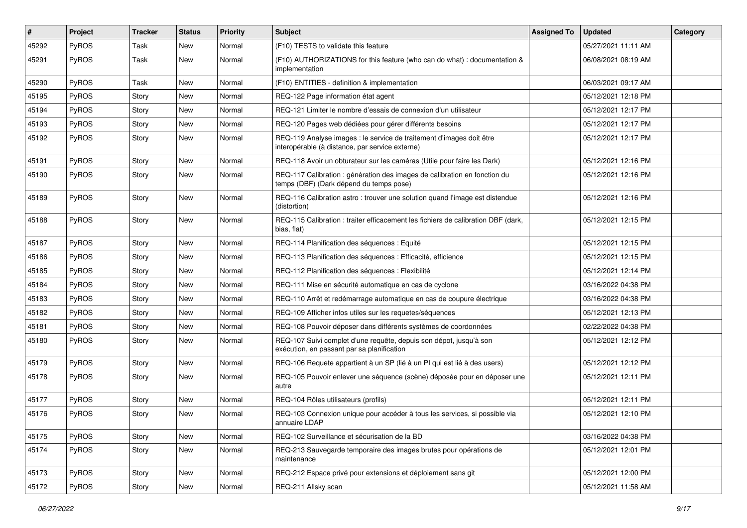| #     | Project      | Tracker | <b>Status</b> | <b>Priority</b> | <b>Subject</b>                                                                                                          | <b>Assigned To</b> | <b>Updated</b>      | Category |
|-------|--------------|---------|---------------|-----------------|-------------------------------------------------------------------------------------------------------------------------|--------------------|---------------------|----------|
| 45292 | PyROS        | Task    | <b>New</b>    | Normal          | (F10) TESTS to validate this feature                                                                                    |                    | 05/27/2021 11:11 AM |          |
| 45291 | PyROS        | Task    | <b>New</b>    | Normal          | (F10) AUTHORIZATIONS for this feature (who can do what) : documentation &<br>implementation                             |                    | 06/08/2021 08:19 AM |          |
| 45290 | PyROS        | Task    | <b>New</b>    | Normal          | (F10) ENTITIES - definition & implementation                                                                            |                    | 06/03/2021 09:17 AM |          |
| 45195 | <b>PyROS</b> | Story   | <b>New</b>    | Normal          | REQ-122 Page information état agent                                                                                     |                    | 05/12/2021 12:18 PM |          |
| 45194 | <b>PyROS</b> | Story   | <b>New</b>    | Normal          | REQ-121 Limiter le nombre d'essais de connexion d'un utilisateur                                                        |                    | 05/12/2021 12:17 PM |          |
| 45193 | PyROS        | Story   | <b>New</b>    | Normal          | REQ-120 Pages web dédiées pour gérer différents besoins                                                                 |                    | 05/12/2021 12:17 PM |          |
| 45192 | <b>PyROS</b> | Story   | New           | Normal          | REQ-119 Analyse images : le service de traitement d'images doit être<br>interopérable (à distance, par service externe) |                    | 05/12/2021 12:17 PM |          |
| 45191 | PyROS        | Story   | <b>New</b>    | Normal          | REQ-118 Avoir un obturateur sur les caméras (Utile pour faire les Dark)                                                 |                    | 05/12/2021 12:16 PM |          |
| 45190 | <b>PyROS</b> | Story   | New           | Normal          | REQ-117 Calibration : génération des images de calibration en fonction du<br>temps (DBF) (Dark dépend du temps pose)    |                    | 05/12/2021 12:16 PM |          |
| 45189 | PyROS        | Story   | New           | Normal          | REQ-116 Calibration astro: trouver une solution quand l'image est distendue<br>(distortion)                             |                    | 05/12/2021 12:16 PM |          |
| 45188 | PyROS        | Story   | <b>New</b>    | Normal          | REQ-115 Calibration : traiter efficacement les fichiers de calibration DBF (dark,<br>bias, flat)                        |                    | 05/12/2021 12:15 PM |          |
| 45187 | PyROS        | Story   | <b>New</b>    | Normal          | REQ-114 Planification des séquences : Equité                                                                            |                    | 05/12/2021 12:15 PM |          |
| 45186 | PyROS        | Story   | <b>New</b>    | Normal          | REQ-113 Planification des séquences : Efficacité, efficience                                                            |                    | 05/12/2021 12:15 PM |          |
| 45185 | <b>PyROS</b> | Story   | <b>New</b>    | Normal          | REQ-112 Planification des séquences : Flexibilité                                                                       |                    | 05/12/2021 12:14 PM |          |
| 45184 | PyROS        | Story   | <b>New</b>    | Normal          | REQ-111 Mise en sécurité automatique en cas de cyclone                                                                  |                    | 03/16/2022 04:38 PM |          |
| 45183 | <b>PyROS</b> | Story   | <b>New</b>    | Normal          | REQ-110 Arrêt et redémarrage automatique en cas de coupure électrique                                                   |                    | 03/16/2022 04:38 PM |          |
| 45182 | <b>PyROS</b> | Story   | <b>New</b>    | Normal          | REQ-109 Afficher infos utiles sur les requetes/séquences                                                                |                    | 05/12/2021 12:13 PM |          |
| 45181 | <b>PyROS</b> | Story   | <b>New</b>    | Normal          | REQ-108 Pouvoir déposer dans différents systèmes de coordonnées                                                         |                    | 02/22/2022 04:38 PM |          |
| 45180 | <b>PyROS</b> | Story   | New           | Normal          | REQ-107 Suivi complet d'une requête, depuis son dépot, jusqu'à son<br>exécution, en passant par sa planification        |                    | 05/12/2021 12:12 PM |          |
| 45179 | PyROS        | Story   | <b>New</b>    | Normal          | REQ-106 Requete appartient à un SP (lié à un PI qui est lié à des users)                                                |                    | 05/12/2021 12:12 PM |          |
| 45178 | <b>PyROS</b> | Story   | New           | Normal          | REQ-105 Pouvoir enlever une séquence (scène) déposée pour en déposer une<br>autre                                       |                    | 05/12/2021 12:11 PM |          |
| 45177 | PyROS        | Story   | New           | Normal          | REQ-104 Rôles utilisateurs (profils)                                                                                    |                    | 05/12/2021 12:11 PM |          |
| 45176 | PyROS        | Story   | New           | Normal          | REQ-103 Connexion unique pour accéder à tous les services, si possible via<br>annuaire LDAP                             |                    | 05/12/2021 12:10 PM |          |
| 45175 | PyROS        | Story   | New           | Normal          | REQ-102 Surveillance et sécurisation de la BD                                                                           |                    | 03/16/2022 04:38 PM |          |
| 45174 | PyROS        | Story   | New           | Normal          | REQ-213 Sauvegarde temporaire des images brutes pour opérations de<br>maintenance                                       |                    | 05/12/2021 12:01 PM |          |
| 45173 | PyROS        | Story   | New           | Normal          | REQ-212 Espace privé pour extensions et déploiement sans git                                                            |                    | 05/12/2021 12:00 PM |          |
| 45172 | PyROS        | Story   | New           | Normal          | REQ-211 Allsky scan                                                                                                     |                    | 05/12/2021 11:58 AM |          |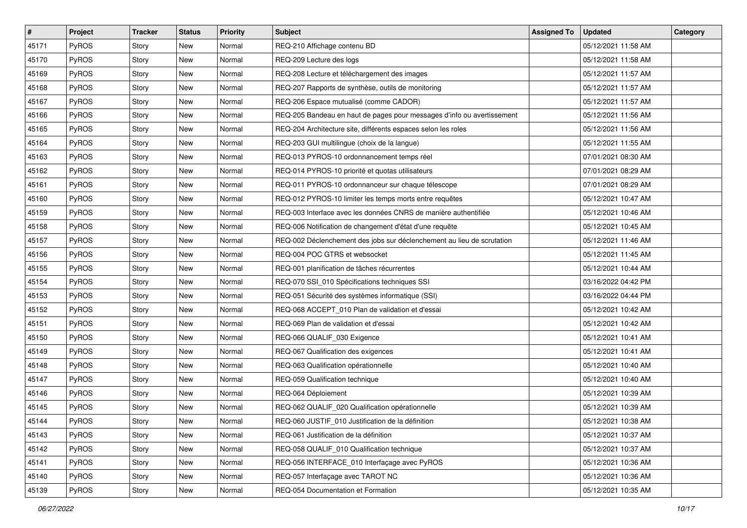| $\sharp$ | Project      | Tracker | <b>Status</b> | <b>Priority</b> | <b>Subject</b>                                                         | <b>Assigned To</b> | <b>Updated</b>      | Category |
|----------|--------------|---------|---------------|-----------------|------------------------------------------------------------------------|--------------------|---------------------|----------|
| 45171    | PyROS        | Story   | <b>New</b>    | Normal          | REQ-210 Affichage contenu BD                                           |                    | 05/12/2021 11:58 AM |          |
| 45170    | PyROS        | Story   | <b>New</b>    | Normal          | REQ-209 Lecture des logs                                               |                    | 05/12/2021 11:58 AM |          |
| 45169    | <b>PyROS</b> | Story   | New           | Normal          | REQ-208 Lecture et téléchargement des images                           |                    | 05/12/2021 11:57 AM |          |
| 45168    | PyROS        | Story   | <b>New</b>    | Normal          | REQ-207 Rapports de synthèse, outils de monitoring                     |                    | 05/12/2021 11:57 AM |          |
| 45167    | <b>PyROS</b> | Story   | <b>New</b>    | Normal          | REQ-206 Espace mutualisé (comme CADOR)                                 |                    | 05/12/2021 11:57 AM |          |
| 45166    | <b>PyROS</b> | Story   | New           | Normal          | REQ-205 Bandeau en haut de pages pour messages d'info ou avertissement |                    | 05/12/2021 11:56 AM |          |
| 45165    | PyROS        | Story   | <b>New</b>    | Normal          | REQ-204 Architecture site, différents espaces selon les roles          |                    | 05/12/2021 11:56 AM |          |
| 45164    | <b>PyROS</b> | Story   | New           | Normal          | REQ-203 GUI multilingue (choix de la langue)                           |                    | 05/12/2021 11:55 AM |          |
| 45163    | PyROS        | Story   | New           | Normal          | REQ-013 PYROS-10 ordonnancement temps réel                             |                    | 07/01/2021 08:30 AM |          |
| 45162    | PyROS        | Story   | <b>New</b>    | Normal          | REQ-014 PYROS-10 priorité et quotas utilisateurs                       |                    | 07/01/2021 08:29 AM |          |
| 45161    | <b>PyROS</b> | Story   | New           | Normal          | REQ-011 PYROS-10 ordonnanceur sur chaque télescope                     |                    | 07/01/2021 08:29 AM |          |
| 45160    | PyROS        | Story   | <b>New</b>    | Normal          | REQ-012 PYROS-10 limiter les temps morts entre requêtes                |                    | 05/12/2021 10:47 AM |          |
| 45159    | PyROS        | Story   | <b>New</b>    | Normal          | REQ-003 Interface avec les données CNRS de manière authentifiée        |                    | 05/12/2021 10:46 AM |          |
| 45158    | PyROS        | Story   | <b>New</b>    | Normal          | REQ-006 Notification de changement d'état d'une requête                |                    | 05/12/2021 10:45 AM |          |
| 45157    | PyROS        | Story   | <b>New</b>    | Normal          | REQ-002 Déclenchement des jobs sur déclenchement au lieu de scrutation |                    | 05/12/2021 11:46 AM |          |
| 45156    | <b>PyROS</b> | Story   | New           | Normal          | REQ-004 POC GTRS et websocket                                          |                    | 05/12/2021 11:45 AM |          |
| 45155    | PyROS        | Story   | <b>New</b>    | Normal          | REQ-001 planification de tâches récurrentes                            |                    | 05/12/2021 10:44 AM |          |
| 45154    | <b>PyROS</b> | Story   | New           | Normal          | REQ-070 SSI_010 Spécifications techniques SSI                          |                    | 03/16/2022 04:42 PM |          |
| 45153    | PyROS        | Story   | New           | Normal          | REQ-051 Sécurité des systèmes informatique (SSI)                       |                    | 03/16/2022 04:44 PM |          |
| 45152    | PyROS        | Story   | <b>New</b>    | Normal          | REQ-068 ACCEPT_010 Plan de validation et d'essai                       |                    | 05/12/2021 10:42 AM |          |
| 45151    | <b>PyROS</b> | Story   | New           | Normal          | REQ-069 Plan de validation et d'essai                                  |                    | 05/12/2021 10:42 AM |          |
| 45150    | PyROS        | Story   | New           | Normal          | REQ-066 QUALIF_030 Exigence                                            |                    | 05/12/2021 10:41 AM |          |
| 45149    | <b>PyROS</b> | Story   | <b>New</b>    | Normal          | REQ-067 Qualification des exigences                                    |                    | 05/12/2021 10:41 AM |          |
| 45148    | <b>PyROS</b> | Story   | New           | Normal          | REQ-063 Qualification opérationnelle                                   |                    | 05/12/2021 10:40 AM |          |
| 45147    | PyROS        | Story   | <b>New</b>    | Normal          | REQ-059 Qualification technique                                        |                    | 05/12/2021 10:40 AM |          |
| 45146    | <b>PyROS</b> | Story   | New           | Normal          | REQ-064 Déploiement                                                    |                    | 05/12/2021 10:39 AM |          |
| 45145    | PyROS        | Story   | New           | Normal          | REQ-062 QUALIF_020 Qualification opérationnelle                        |                    | 05/12/2021 10:39 AM |          |
| 45144    | PyROS        | Story   | New           | Normal          | REQ-060 JUSTIF_010 Justification de la définition                      |                    | 05/12/2021 10:38 AM |          |
| 45143    | <b>PyROS</b> | Story   | New           | Normal          | REQ-061 Justification de la définition                                 |                    | 05/12/2021 10:37 AM |          |
| 45142    | PyROS        | Story   | New           | Normal          | REQ-058 QUALIF_010 Qualification technique                             |                    | 05/12/2021 10:37 AM |          |
| 45141    | PyROS        | Story   | New           | Normal          | REQ-056 INTERFACE_010 Interfaçage avec PyROS                           |                    | 05/12/2021 10:36 AM |          |
| 45140    | PyROS        | Story   | New           | Normal          | REQ-057 Interfaçage avec TAROT NC                                      |                    | 05/12/2021 10:36 AM |          |
| 45139    | PyROS        | Story   | New           | Normal          | REQ-054 Documentation et Formation                                     |                    | 05/12/2021 10:35 AM |          |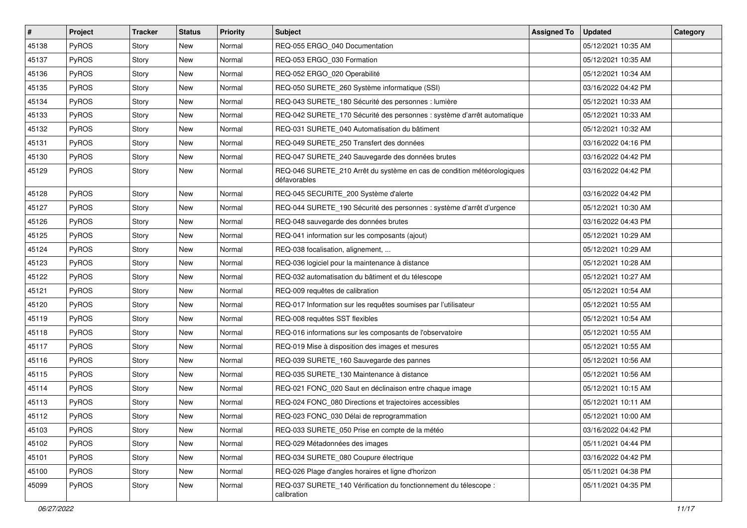| $\vert$ # | Project      | <b>Tracker</b> | <b>Status</b> | <b>Priority</b> | <b>Subject</b>                                                                          | <b>Assigned To</b> | <b>Updated</b>      | Category |
|-----------|--------------|----------------|---------------|-----------------|-----------------------------------------------------------------------------------------|--------------------|---------------------|----------|
| 45138     | PyROS        | Story          | <b>New</b>    | Normal          | REQ-055 ERGO 040 Documentation                                                          |                    | 05/12/2021 10:35 AM |          |
| 45137     | PyROS        | Story          | New           | Normal          | REQ-053 ERGO_030 Formation                                                              |                    | 05/12/2021 10:35 AM |          |
| 45136     | <b>PyROS</b> | Story          | New           | Normal          | REQ-052 ERGO 020 Operabilité                                                            |                    | 05/12/2021 10:34 AM |          |
| 45135     | PyROS        | Story          | New           | Normal          | REQ-050 SURETE_260 Système informatique (SSI)                                           |                    | 03/16/2022 04:42 PM |          |
| 45134     | PyROS        | Story          | New           | Normal          | REQ-043 SURETE_180 Sécurité des personnes : lumière                                     |                    | 05/12/2021 10:33 AM |          |
| 45133     | PyROS        | Story          | New           | Normal          | REQ-042 SURETE_170 Sécurité des personnes : système d'arrêt automatique                 |                    | 05/12/2021 10:33 AM |          |
| 45132     | PyROS        | Story          | New           | Normal          | REQ-031 SURETE 040 Automatisation du bâtiment                                           |                    | 05/12/2021 10:32 AM |          |
| 45131     | <b>PyROS</b> | Story          | New           | Normal          | REQ-049 SURETE_250 Transfert des données                                                |                    | 03/16/2022 04:16 PM |          |
| 45130     | PyROS        | Story          | New           | Normal          | REQ-047 SURETE_240 Sauvegarde des données brutes                                        |                    | 03/16/2022 04:42 PM |          |
| 45129     | PyROS        | Story          | New           | Normal          | REQ-046 SURETE_210 Arrêt du système en cas de condition météorologiques<br>défavorables |                    | 03/16/2022 04:42 PM |          |
| 45128     | PyROS        | Story          | New           | Normal          | REQ-045 SECURITE_200 Système d'alerte                                                   |                    | 03/16/2022 04:42 PM |          |
| 45127     | PyROS        | Story          | New           | Normal          | REQ-044 SURETE_190 Sécurité des personnes : système d'arrêt d'urgence                   |                    | 05/12/2021 10:30 AM |          |
| 45126     | PyROS        | Story          | New           | Normal          | REQ-048 sauvegarde des données brutes                                                   |                    | 03/16/2022 04:43 PM |          |
| 45125     | PyROS        | Story          | New           | Normal          | REQ-041 information sur les composants (ajout)                                          |                    | 05/12/2021 10:29 AM |          |
| 45124     | PyROS        | Story          | New           | Normal          | REQ-038 focalisation, alignement,                                                       |                    | 05/12/2021 10:29 AM |          |
| 45123     | PyROS        | Story          | New           | Normal          | REQ-036 logiciel pour la maintenance à distance                                         |                    | 05/12/2021 10:28 AM |          |
| 45122     | PyROS        | Story          | <b>New</b>    | Normal          | REQ-032 automatisation du bâtiment et du télescope                                      |                    | 05/12/2021 10:27 AM |          |
| 45121     | PyROS        | Story          | New           | Normal          | REQ-009 requêtes de calibration                                                         |                    | 05/12/2021 10:54 AM |          |
| 45120     | PyROS        | Story          | New           | Normal          | REQ-017 Information sur les requêtes soumises par l'utilisateur                         |                    | 05/12/2021 10:55 AM |          |
| 45119     | <b>PyROS</b> | Story          | New           | Normal          | REQ-008 requêtes SST flexibles                                                          |                    | 05/12/2021 10:54 AM |          |
| 45118     | PyROS        | Story          | New           | Normal          | REQ-016 informations sur les composants de l'observatoire                               |                    | 05/12/2021 10:55 AM |          |
| 45117     | PyROS        | Story          | New           | Normal          | REQ-019 Mise à disposition des images et mesures                                        |                    | 05/12/2021 10:55 AM |          |
| 45116     | PyROS        | Story          | New           | Normal          | REQ-039 SURETE 160 Sauvegarde des pannes                                                |                    | 05/12/2021 10:56 AM |          |
| 45115     | PyROS        | Story          | New           | Normal          | REQ-035 SURETE_130 Maintenance à distance                                               |                    | 05/12/2021 10:56 AM |          |
| 45114     | <b>PyROS</b> | Story          | New           | Normal          | REQ-021 FONC 020 Saut en déclinaison entre chaque image                                 |                    | 05/12/2021 10:15 AM |          |
| 45113     | PyROS        | Story          | New           | Normal          | REQ-024 FONC_080 Directions et trajectoires accessibles                                 |                    | 05/12/2021 10:11 AM |          |
| 45112     | PyROS        | Story          | New           | Normal          | REQ-023 FONC_030 Délai de reprogrammation                                               |                    | 05/12/2021 10:00 AM |          |
| 45103     | PyROS        | Story          | New           | Normal          | REQ-033 SURETE_050 Prise en compte de la météo                                          |                    | 03/16/2022 04:42 PM |          |
| 45102     | PyROS        | Story          | New           | Normal          | REQ-029 Métadonnées des images                                                          |                    | 05/11/2021 04:44 PM |          |
| 45101     | PyROS        | Story          | New           | Normal          | REQ-034 SURETE_080 Coupure électrique                                                   |                    | 03/16/2022 04:42 PM |          |
| 45100     | PyROS        | Story          | New           | Normal          | REQ-026 Plage d'angles horaires et ligne d'horizon                                      |                    | 05/11/2021 04:38 PM |          |
| 45099     | PyROS        | Story          | New           | Normal          | REQ-037 SURETE_140 Vérification du fonctionnement du télescope :<br>calibration         |                    | 05/11/2021 04:35 PM |          |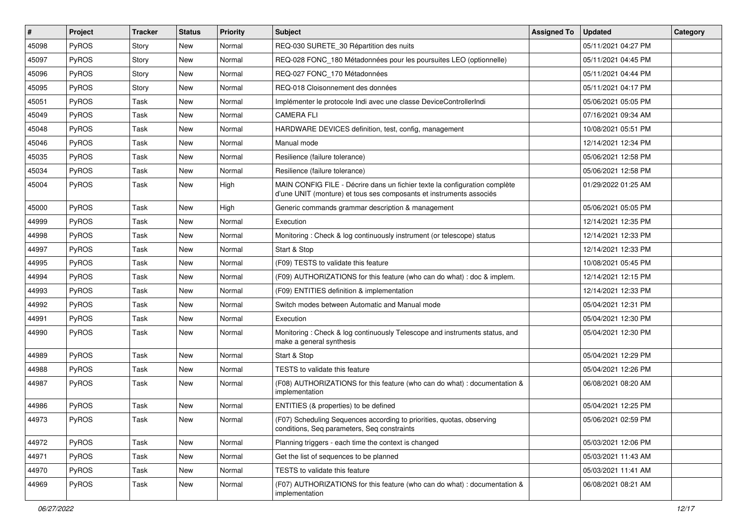| #     | Project      | <b>Tracker</b> | <b>Status</b> | <b>Priority</b> | <b>Subject</b>                                                                                                                                    | <b>Assigned To</b> | <b>Updated</b>      | Category |
|-------|--------------|----------------|---------------|-----------------|---------------------------------------------------------------------------------------------------------------------------------------------------|--------------------|---------------------|----------|
| 45098 | PyROS        | Story          | <b>New</b>    | Normal          | REQ-030 SURETE_30 Répartition des nuits                                                                                                           |                    | 05/11/2021 04:27 PM |          |
| 45097 | PyROS        | Story          | New           | Normal          | REQ-028 FONC_180 Métadonnées pour les poursuites LEO (optionnelle)                                                                                |                    | 05/11/2021 04:45 PM |          |
| 45096 | <b>PyROS</b> | Story          | New           | Normal          | REQ-027 FONC 170 Métadonnées                                                                                                                      |                    | 05/11/2021 04:44 PM |          |
| 45095 | PyROS        | Story          | New           | Normal          | REQ-018 Cloisonnement des données                                                                                                                 |                    | 05/11/2021 04:17 PM |          |
| 45051 | PyROS        | Task           | <b>New</b>    | Normal          | Implémenter le protocole Indi avec une classe DeviceControllerIndi                                                                                |                    | 05/06/2021 05:05 PM |          |
| 45049 | PyROS        | Task           | New           | Normal          | <b>CAMERA FLI</b>                                                                                                                                 |                    | 07/16/2021 09:34 AM |          |
| 45048 | PyROS        | Task           | <b>New</b>    | Normal          | HARDWARE DEVICES definition, test, config, management                                                                                             |                    | 10/08/2021 05:51 PM |          |
| 45046 | PyROS        | Task           | New           | Normal          | Manual mode                                                                                                                                       |                    | 12/14/2021 12:34 PM |          |
| 45035 | PyROS        | Task           | New           | Normal          | Resilience (failure tolerance)                                                                                                                    |                    | 05/06/2021 12:58 PM |          |
| 45034 | PyROS        | Task           | New           | Normal          | Resilience (failure tolerance)                                                                                                                    |                    | 05/06/2021 12:58 PM |          |
| 45004 | PyROS        | Task           | New           | High            | MAIN CONFIG FILE - Décrire dans un fichier texte la configuration complète<br>d'une UNIT (monture) et tous ses composants et instruments associés |                    | 01/29/2022 01:25 AM |          |
| 45000 | PyROS        | Task           | New           | High            | Generic commands grammar description & management                                                                                                 |                    | 05/06/2021 05:05 PM |          |
| 44999 | PyROS        | Task           | New           | Normal          | Execution                                                                                                                                         |                    | 12/14/2021 12:35 PM |          |
| 44998 | PyROS        | Task           | <b>New</b>    | Normal          | Monitoring: Check & log continuously instrument (or telescope) status                                                                             |                    | 12/14/2021 12:33 PM |          |
| 44997 | PyROS        | Task           | New           | Normal          | Start & Stop                                                                                                                                      |                    | 12/14/2021 12:33 PM |          |
| 44995 | PyROS        | Task           | New           | Normal          | (F09) TESTS to validate this feature                                                                                                              |                    | 10/08/2021 05:45 PM |          |
| 44994 | PyROS        | Task           | New           | Normal          | (F09) AUTHORIZATIONS for this feature (who can do what) : doc & implem.                                                                           |                    | 12/14/2021 12:15 PM |          |
| 44993 | PyROS        | Task           | New           | Normal          | (F09) ENTITIES definition & implementation                                                                                                        |                    | 12/14/2021 12:33 PM |          |
| 44992 | PyROS        | Task           | <b>New</b>    | Normal          | Switch modes between Automatic and Manual mode                                                                                                    |                    | 05/04/2021 12:31 PM |          |
| 44991 | PyROS        | Task           | New           | Normal          | Execution                                                                                                                                         |                    | 05/04/2021 12:30 PM |          |
| 44990 | PyROS        | Task           | New           | Normal          | Monitoring: Check & log continuously Telescope and instruments status, and<br>make a general synthesis                                            |                    | 05/04/2021 12:30 PM |          |
| 44989 | PyROS        | Task           | New           | Normal          | Start & Stop                                                                                                                                      |                    | 05/04/2021 12:29 PM |          |
| 44988 | PyROS        | Task           | New           | Normal          | <b>TESTS</b> to validate this feature                                                                                                             |                    | 05/04/2021 12:26 PM |          |
| 44987 | PyROS        | Task           | <b>New</b>    | Normal          | (F08) AUTHORIZATIONS for this feature (who can do what) : documentation &<br>implementation                                                       |                    | 06/08/2021 08:20 AM |          |
| 44986 | PyROS        | Task           | New           | Normal          | ENTITIES (& properties) to be defined                                                                                                             |                    | 05/04/2021 12:25 PM |          |
| 44973 | PyROS        | Task           | New           | Normal          | (F07) Scheduling Sequences according to priorities, quotas, observing<br>conditions, Seq parameters, Seq constraints                              |                    | 05/06/2021 02:59 PM |          |
| 44972 | PyROS        | Task           | New           | Normal          | Planning triggers - each time the context is changed                                                                                              |                    | 05/03/2021 12:06 PM |          |
| 44971 | PyROS        | Task           | New           | Normal          | Get the list of sequences to be planned                                                                                                           |                    | 05/03/2021 11:43 AM |          |
| 44970 | PyROS        | Task           | New           | Normal          | TESTS to validate this feature                                                                                                                    |                    | 05/03/2021 11:41 AM |          |
| 44969 | PyROS        | Task           | New           | Normal          | (F07) AUTHORIZATIONS for this feature (who can do what) : documentation &<br>implementation                                                       |                    | 06/08/2021 08:21 AM |          |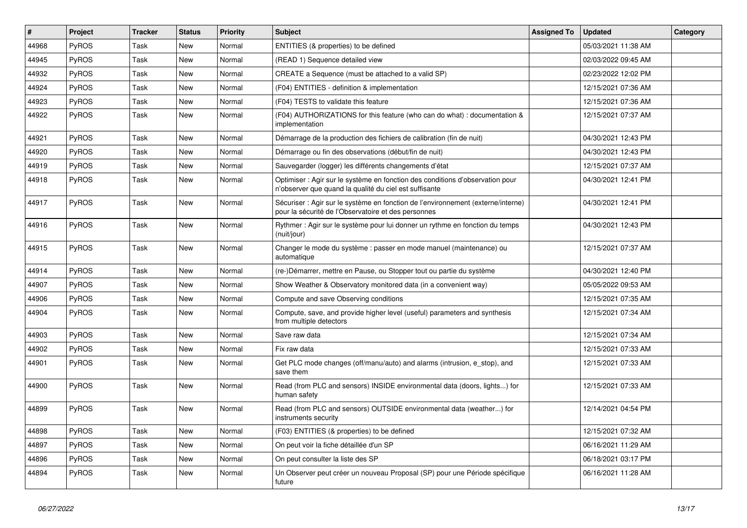| $\#$  | Project      | <b>Tracker</b> | <b>Status</b> | <b>Priority</b> | <b>Subject</b>                                                                                                                          | <b>Assigned To</b> | <b>Updated</b>      | Category |
|-------|--------------|----------------|---------------|-----------------|-----------------------------------------------------------------------------------------------------------------------------------------|--------------------|---------------------|----------|
| 44968 | PyROS        | Task           | <b>New</b>    | Normal          | ENTITIES (& properties) to be defined                                                                                                   |                    | 05/03/2021 11:38 AM |          |
| 44945 | PyROS        | Task           | New           | Normal          | (READ 1) Sequence detailed view                                                                                                         |                    | 02/03/2022 09:45 AM |          |
| 44932 | PyROS        | Task           | <b>New</b>    | Normal          | CREATE a Sequence (must be attached to a valid SP)                                                                                      |                    | 02/23/2022 12:02 PM |          |
| 44924 | PyROS        | Task           | <b>New</b>    | Normal          | (F04) ENTITIES - definition & implementation                                                                                            |                    | 12/15/2021 07:36 AM |          |
| 44923 | PyROS        | Task           | <b>New</b>    | Normal          | (F04) TESTS to validate this feature                                                                                                    |                    | 12/15/2021 07:36 AM |          |
| 44922 | PyROS        | Task           | New           | Normal          | (F04) AUTHORIZATIONS for this feature (who can do what) : documentation &<br>implementation                                             |                    | 12/15/2021 07:37 AM |          |
| 44921 | PyROS        | Task           | <b>New</b>    | Normal          | Démarrage de la production des fichiers de calibration (fin de nuit)                                                                    |                    | 04/30/2021 12:43 PM |          |
| 44920 | PyROS        | Task           | <b>New</b>    | Normal          | Démarrage ou fin des observations (début/fin de nuit)                                                                                   |                    | 04/30/2021 12:43 PM |          |
| 44919 | PyROS        | Task           | <b>New</b>    | Normal          | Sauvegarder (logger) les différents changements d'état                                                                                  |                    | 12/15/2021 07:37 AM |          |
| 44918 | PyROS        | Task           | <b>New</b>    | Normal          | Optimiser : Agir sur le système en fonction des conditions d'observation pour<br>n'observer que quand la qualité du ciel est suffisante |                    | 04/30/2021 12:41 PM |          |
| 44917 | PyROS        | Task           | <b>New</b>    | Normal          | Sécuriser : Agir sur le système en fonction de l'environnement (externe/interne)<br>pour la sécurité de l'Observatoire et des personnes |                    | 04/30/2021 12:41 PM |          |
| 44916 | PyROS        | Task           | <b>New</b>    | Normal          | Rythmer : Agir sur le système pour lui donner un rythme en fonction du temps<br>(nuit/jour)                                             |                    | 04/30/2021 12:43 PM |          |
| 44915 | PyROS        | Task           | <b>New</b>    | Normal          | Changer le mode du système : passer en mode manuel (maintenance) ou<br>automatique                                                      |                    | 12/15/2021 07:37 AM |          |
| 44914 | PyROS        | Task           | New           | Normal          | (re-)Démarrer, mettre en Pause, ou Stopper tout ou partie du système                                                                    |                    | 04/30/2021 12:40 PM |          |
| 44907 | PyROS        | Task           | <b>New</b>    | Normal          | Show Weather & Observatory monitored data (in a convenient way)                                                                         |                    | 05/05/2022 09:53 AM |          |
| 44906 | PyROS        | Task           | <b>New</b>    | Normal          | Compute and save Observing conditions                                                                                                   |                    | 12/15/2021 07:35 AM |          |
| 44904 | <b>PyROS</b> | Task           | New           | Normal          | Compute, save, and provide higher level (useful) parameters and synthesis<br>from multiple detectors                                    |                    | 12/15/2021 07:34 AM |          |
| 44903 | PyROS        | Task           | New           | Normal          | Save raw data                                                                                                                           |                    | 12/15/2021 07:34 AM |          |
| 44902 | PyROS        | Task           | <b>New</b>    | Normal          | Fix raw data                                                                                                                            |                    | 12/15/2021 07:33 AM |          |
| 44901 | PyROS        | Task           | New           | Normal          | Get PLC mode changes (off/manu/auto) and alarms (intrusion, e_stop), and<br>save them                                                   |                    | 12/15/2021 07:33 AM |          |
| 44900 | PyROS        | Task           | New           | Normal          | Read (from PLC and sensors) INSIDE environmental data (doors, lights) for<br>human safety                                               |                    | 12/15/2021 07:33 AM |          |
| 44899 | PyROS        | Task           | <b>New</b>    | Normal          | Read (from PLC and sensors) OUTSIDE environmental data (weather) for<br>instruments security                                            |                    | 12/14/2021 04:54 PM |          |
| 44898 | PyROS        | Task           | New           | Normal          | (F03) ENTITIES (& properties) to be defined                                                                                             |                    | 12/15/2021 07:32 AM |          |
| 44897 | PyROS        | Task           | New           | Normal          | On peut voir la fiche détaillée d'un SP                                                                                                 |                    | 06/16/2021 11:29 AM |          |
| 44896 | PyROS        | Task           | New           | Normal          | On peut consulter la liste des SP                                                                                                       |                    | 06/18/2021 03:17 PM |          |
| 44894 | PyROS        | Task           | New           | Normal          | Un Observer peut créer un nouveau Proposal (SP) pour une Période spécifique<br>future                                                   |                    | 06/16/2021 11:28 AM |          |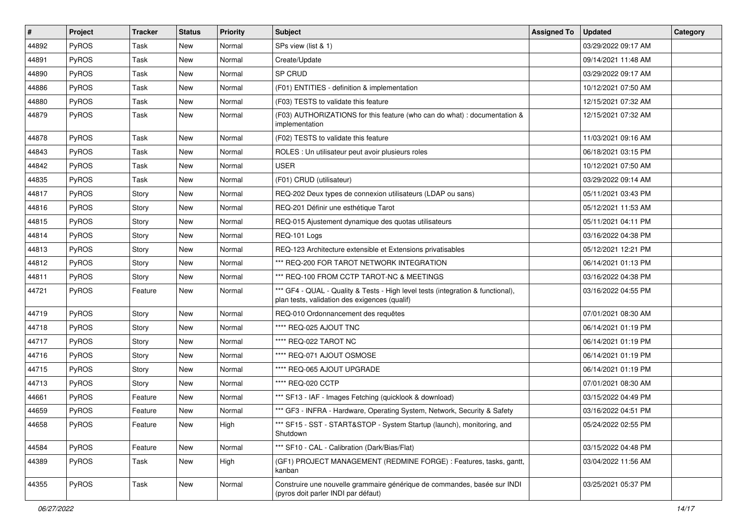| $\#$  | <b>Project</b> | <b>Tracker</b> | <b>Status</b> | <b>Priority</b> | <b>Subject</b>                                                                                                                   | <b>Assigned To</b> | <b>Updated</b>      | Category |
|-------|----------------|----------------|---------------|-----------------|----------------------------------------------------------------------------------------------------------------------------------|--------------------|---------------------|----------|
| 44892 | PyROS          | Task           | <b>New</b>    | Normal          | SPs view (list & 1)                                                                                                              |                    | 03/29/2022 09:17 AM |          |
| 44891 | PyROS          | Task           | <b>New</b>    | Normal          | Create/Update                                                                                                                    |                    | 09/14/2021 11:48 AM |          |
| 44890 | PyROS          | Task           | <b>New</b>    | Normal          | SP CRUD                                                                                                                          |                    | 03/29/2022 09:17 AM |          |
| 44886 | PyROS          | Task           | New           | Normal          | (F01) ENTITIES - definition & implementation                                                                                     |                    | 10/12/2021 07:50 AM |          |
| 44880 | PyROS          | Task           | <b>New</b>    | Normal          | (F03) TESTS to validate this feature                                                                                             |                    | 12/15/2021 07:32 AM |          |
| 44879 | PyROS          | Task           | New           | Normal          | (F03) AUTHORIZATIONS for this feature (who can do what) : documentation &<br>implementation                                      |                    | 12/15/2021 07:32 AM |          |
| 44878 | PyROS          | Task           | New           | Normal          | (F02) TESTS to validate this feature                                                                                             |                    | 11/03/2021 09:16 AM |          |
| 44843 | PyROS          | Task           | <b>New</b>    | Normal          | ROLES : Un utilisateur peut avoir plusieurs roles                                                                                |                    | 06/18/2021 03:15 PM |          |
| 44842 | PyROS          | Task           | <b>New</b>    | Normal          | <b>USER</b>                                                                                                                      |                    | 10/12/2021 07:50 AM |          |
| 44835 | <b>PyROS</b>   | Task           | <b>New</b>    | Normal          | (F01) CRUD (utilisateur)                                                                                                         |                    | 03/29/2022 09:14 AM |          |
| 44817 | PyROS          | Story          | <b>New</b>    | Normal          | REQ-202 Deux types de connexion utilisateurs (LDAP ou sans)                                                                      |                    | 05/11/2021 03:43 PM |          |
| 44816 | PyROS          | Story          | <b>New</b>    | Normal          | REQ-201 Définir une esthétique Tarot                                                                                             |                    | 05/12/2021 11:53 AM |          |
| 44815 | PyROS          | Story          | New           | Normal          | REQ-015 Ajustement dynamique des quotas utilisateurs                                                                             |                    | 05/11/2021 04:11 PM |          |
| 44814 | PyROS          | Story          | <b>New</b>    | Normal          | REQ-101 Logs                                                                                                                     |                    | 03/16/2022 04:38 PM |          |
| 44813 | PyROS          | Story          | <b>New</b>    | Normal          | REQ-123 Architecture extensible et Extensions privatisables                                                                      |                    | 05/12/2021 12:21 PM |          |
| 44812 | PyROS          | Story          | New           | Normal          | *** REQ-200 FOR TAROT NETWORK INTEGRATION                                                                                        |                    | 06/14/2021 01:13 PM |          |
| 44811 | PyROS          | Story          | <b>New</b>    | Normal          | *** REQ-100 FROM CCTP TAROT-NC & MEETINGS                                                                                        |                    | 03/16/2022 04:38 PM |          |
| 44721 | PyROS          | Feature        | New           | Normal          | *** GF4 - QUAL - Quality & Tests - High level tests (integration & functional),<br>plan tests, validation des exigences (qualif) |                    | 03/16/2022 04:55 PM |          |
| 44719 | PyROS          | Story          | New           | Normal          | REQ-010 Ordonnancement des requêtes                                                                                              |                    | 07/01/2021 08:30 AM |          |
| 44718 | PyROS          | Story          | <b>New</b>    | Normal          | **** REQ-025 AJOUT TNC                                                                                                           |                    | 06/14/2021 01:19 PM |          |
| 44717 | PyROS          | Story          | <b>New</b>    | Normal          | **** REQ-022 TAROT NC                                                                                                            |                    | 06/14/2021 01:19 PM |          |
| 44716 | PyROS          | Story          | <b>New</b>    | Normal          | **** REQ-071 AJOUT OSMOSE                                                                                                        |                    | 06/14/2021 01:19 PM |          |
| 44715 | PyROS          | Story          | New           | Normal          | **** REQ-065 AJOUT UPGRADE                                                                                                       |                    | 06/14/2021 01:19 PM |          |
| 44713 | PyROS          | Story          | <b>New</b>    | Normal          | **** REQ-020 CCTP                                                                                                                |                    | 07/01/2021 08:30 AM |          |
| 44661 | PyROS          | Feature        | <b>New</b>    | Normal          | *** SF13 - IAF - Images Fetching (quicklook & download)                                                                          |                    | 03/15/2022 04:49 PM |          |
| 44659 | PyROS          | Feature        | <b>New</b>    | Normal          | *** GF3 - INFRA - Hardware, Operating System, Network, Security & Safety                                                         |                    | 03/16/2022 04:51 PM |          |
| 44658 | PyROS          | Feature        | New           | High            | *** SF15 - SST - START&STOP - System Startup (launch), monitoring, and<br>Shutdown                                               |                    | 05/24/2022 02:55 PM |          |
| 44584 | PyROS          | Feature        | New           | Normal          | *** SF10 - CAL - Calibration (Dark/Bias/Flat)                                                                                    |                    | 03/15/2022 04:48 PM |          |
| 44389 | PyROS          | Task           | New           | High            | (GF1) PROJECT MANAGEMENT (REDMINE FORGE) : Features, tasks, gantt,<br>kanban                                                     |                    | 03/04/2022 11:56 AM |          |
| 44355 | PyROS          | Task           | New           | Normal          | Construire une nouvelle grammaire générique de commandes, basée sur INDI<br>(pyros doit parler INDI par défaut)                  |                    | 03/25/2021 05:37 PM |          |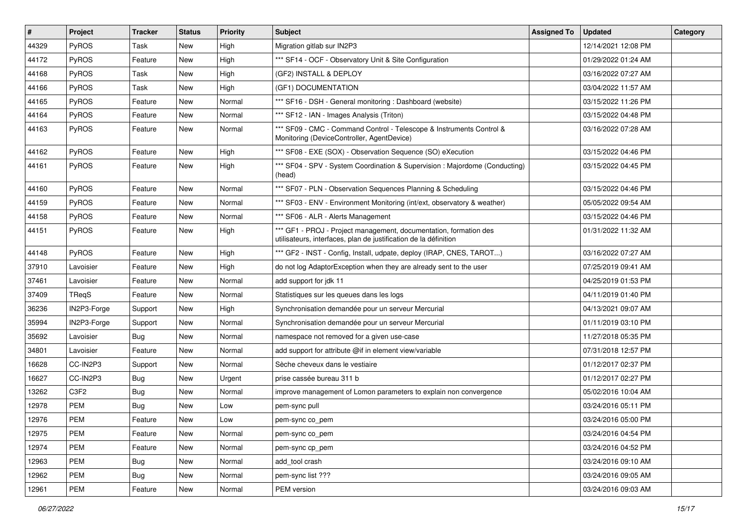| $\vert$ # | Project      | <b>Tracker</b> | <b>Status</b> | <b>Priority</b> | <b>Subject</b>                                                                                                                        | <b>Assigned To</b> | <b>Updated</b>      | Category |
|-----------|--------------|----------------|---------------|-----------------|---------------------------------------------------------------------------------------------------------------------------------------|--------------------|---------------------|----------|
| 44329     | PyROS        | Task           | <b>New</b>    | High            | Migration gitlab sur IN2P3                                                                                                            |                    | 12/14/2021 12:08 PM |          |
| 44172     | PyROS        | Feature        | New           | High            | *** SF14 - OCF - Observatory Unit & Site Configuration                                                                                |                    | 01/29/2022 01:24 AM |          |
| 44168     | <b>PyROS</b> | Task           | New           | High            | (GF2) INSTALL & DEPLOY                                                                                                                |                    | 03/16/2022 07:27 AM |          |
| 44166     | PyROS        | Task           | New           | High            | (GF1) DOCUMENTATION                                                                                                                   |                    | 03/04/2022 11:57 AM |          |
| 44165     | PyROS        | Feature        | <b>New</b>    | Normal          | *** SF16 - DSH - General monitoring: Dashboard (website)                                                                              |                    | 03/15/2022 11:26 PM |          |
| 44164     | PyROS        | Feature        | New           | Normal          | *** SF12 - IAN - Images Analysis (Triton)                                                                                             |                    | 03/15/2022 04:48 PM |          |
| 44163     | PyROS        | Feature        | <b>New</b>    | Normal          | *** SF09 - CMC - Command Control - Telescope & Instruments Control &<br>Monitoring (DeviceController, AgentDevice)                    |                    | 03/16/2022 07:28 AM |          |
| 44162     | PyROS        | Feature        | <b>New</b>    | High            | *** SF08 - EXE (SOX) - Observation Sequence (SO) eXecution                                                                            |                    | 03/15/2022 04:46 PM |          |
| 44161     | PyROS        | Feature        | New           | High            | *** SF04 - SPV - System Coordination & Supervision : Majordome (Conducting)<br>(head)                                                 |                    | 03/15/2022 04:45 PM |          |
| 44160     | PyROS        | Feature        | New           | Normal          | *** SF07 - PLN - Observation Sequences Planning & Scheduling                                                                          |                    | 03/15/2022 04:46 PM |          |
| 44159     | PyROS        | Feature        | <b>New</b>    | Normal          | *** SF03 - ENV - Environment Monitoring (int/ext, observatory & weather)                                                              |                    | 05/05/2022 09:54 AM |          |
| 44158     | PyROS        | Feature        | New           | Normal          | *** SF06 - ALR - Alerts Management                                                                                                    |                    | 03/15/2022 04:46 PM |          |
| 44151     | PyROS        | Feature        | New           | High            | *** GF1 - PROJ - Project management, documentation, formation des<br>utilisateurs, interfaces, plan de justification de la définition |                    | 01/31/2022 11:32 AM |          |
| 44148     | PyROS        | Feature        | <b>New</b>    | High            | *** GF2 - INST - Config, Install, udpate, deploy (IRAP, CNES, TAROT)                                                                  |                    | 03/16/2022 07:27 AM |          |
| 37910     | Lavoisier    | Feature        | <b>New</b>    | High            | do not log AdaptorException when they are already sent to the user                                                                    |                    | 07/25/2019 09:41 AM |          |
| 37461     | Lavoisier    | Feature        | New           | Normal          | add support for jdk 11                                                                                                                |                    | 04/25/2019 01:53 PM |          |
| 37409     | TReqS        | Feature        | New           | Normal          | Statistiques sur les queues dans les logs                                                                                             |                    | 04/11/2019 01:40 PM |          |
| 36236     | IN2P3-Forge  | Support        | New           | High            | Synchronisation demandée pour un serveur Mercurial                                                                                    |                    | 04/13/2021 09:07 AM |          |
| 35994     | IN2P3-Forge  | Support        | New           | Normal          | Synchronisation demandée pour un serveur Mercurial                                                                                    |                    | 01/11/2019 03:10 PM |          |
| 35692     | Lavoisier    | <b>Bug</b>     | <b>New</b>    | Normal          | namespace not removed for a given use-case                                                                                            |                    | 11/27/2018 05:35 PM |          |
| 34801     | Lavoisier    | Feature        | New           | Normal          | add support for attribute @if in element view/variable                                                                                |                    | 07/31/2018 12:57 PM |          |
| 16628     | CC-IN2P3     | Support        | New           | Normal          | Sèche cheveux dans le vestiaire                                                                                                       |                    | 01/12/2017 02:37 PM |          |
| 16627     | CC-IN2P3     | <b>Bug</b>     | New           | Urgent          | prise cassée bureau 311 b                                                                                                             |                    | 01/12/2017 02:27 PM |          |
| 13262     | C3F2         | <b>Bug</b>     | New           | Normal          | improve management of Lomon parameters to explain non convergence                                                                     |                    | 05/02/2016 10:04 AM |          |
| 12978     | <b>PEM</b>   | <b>Bug</b>     | <b>New</b>    | Low             | pem-sync pull                                                                                                                         |                    | 03/24/2016 05:11 PM |          |
| 12976     | <b>PEM</b>   | Feature        | New           | Low             | pem-sync co_pem                                                                                                                       |                    | 03/24/2016 05:00 PM |          |
| 12975     | <b>PEM</b>   | Feature        | New           | Normal          | pem-sync co_pem                                                                                                                       |                    | 03/24/2016 04:54 PM |          |
| 12974     | PEM          | Feature        | <b>New</b>    | Normal          | pem-sync cp_pem                                                                                                                       |                    | 03/24/2016 04:52 PM |          |
| 12963     | PEM          | <b>Bug</b>     | New           | Normal          | add tool crash                                                                                                                        |                    | 03/24/2016 09:10 AM |          |
| 12962     | <b>PEM</b>   | Bug            | New           | Normal          | pem-sync list ???                                                                                                                     |                    | 03/24/2016 09:05 AM |          |
| 12961     | PEM          | Feature        | New           | Normal          | PEM version                                                                                                                           |                    | 03/24/2016 09:03 AM |          |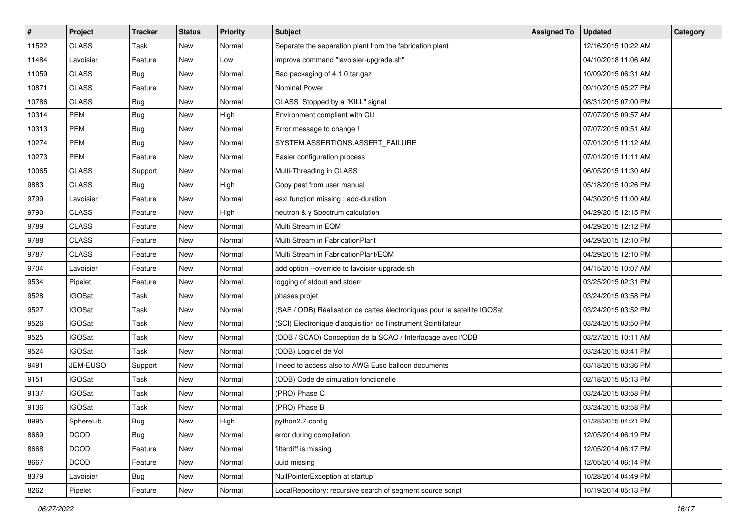| $\vert$ # | Project       | <b>Tracker</b> | <b>Status</b> | <b>Priority</b> | <b>Subject</b>                                                           | <b>Assigned To</b> | <b>Updated</b>      | Category |
|-----------|---------------|----------------|---------------|-----------------|--------------------------------------------------------------------------|--------------------|---------------------|----------|
| 11522     | <b>CLASS</b>  | Task           | <b>New</b>    | Normal          | Separate the separation plant from the fabrication plant                 |                    | 12/16/2015 10:22 AM |          |
| 11484     | Lavoisier     | Feature        | New           | Low             | improve command "lavoisier-upgrade.sh"                                   |                    | 04/10/2018 11:06 AM |          |
| 11059     | <b>CLASS</b>  | <b>Bug</b>     | New           | Normal          | Bad packaging of 4.1.0.tar.gaz                                           |                    | 10/09/2015 06:31 AM |          |
| 10871     | <b>CLASS</b>  | Feature        | New           | Normal          | <b>Nominal Power</b>                                                     |                    | 09/10/2015 05:27 PM |          |
| 10786     | <b>CLASS</b>  | <b>Bug</b>     | <b>New</b>    | Normal          | CLASS Stopped by a "KILL" signal                                         |                    | 08/31/2015 07:00 PM |          |
| 10314     | <b>PEM</b>    | Bug            | <b>New</b>    | High            | Environment compliant with CLI                                           |                    | 07/07/2015 09:57 AM |          |
| 10313     | <b>PEM</b>    | <b>Bug</b>     | <b>New</b>    | Normal          | Error message to change !                                                |                    | 07/07/2015 09:51 AM |          |
| 10274     | <b>PEM</b>    | <b>Bug</b>     | New           | Normal          | SYSTEM.ASSERTIONS.ASSERT FAILURE                                         |                    | 07/01/2015 11:12 AM |          |
| 10273     | <b>PEM</b>    | Feature        | New           | Normal          | Easier configuration process                                             |                    | 07/01/2015 11:11 AM |          |
| 10065     | <b>CLASS</b>  | Support        | <b>New</b>    | Normal          | Multi-Threading in CLASS                                                 |                    | 06/05/2015 11:30 AM |          |
| 9883      | <b>CLASS</b>  | <b>Bug</b>     | <b>New</b>    | High            | Copy past from user manual                                               |                    | 05/18/2015 10:26 PM |          |
| 9799      | Lavoisier     | Feature        | New           | Normal          | esxl function missing : add-duration                                     |                    | 04/30/2015 11:00 AM |          |
| 9790      | <b>CLASS</b>  | Feature        | New           | High            | neutron & y Spectrum calculation                                         |                    | 04/29/2015 12:15 PM |          |
| 9789      | <b>CLASS</b>  | Feature        | <b>New</b>    | Normal          | Multi Stream in EQM                                                      |                    | 04/29/2015 12:12 PM |          |
| 9788      | <b>CLASS</b>  | Feature        | <b>New</b>    | Normal          | Multi Stream in FabricationPlant                                         |                    | 04/29/2015 12:10 PM |          |
| 9787      | <b>CLASS</b>  | Feature        | New           | Normal          | Multi Stream in FabricationPlant/EQM                                     |                    | 04/29/2015 12:10 PM |          |
| 9704      | Lavoisier     | Feature        | New           | Normal          | add option --override to lavoisier-upgrade.sh                            |                    | 04/15/2015 10:07 AM |          |
| 9534      | Pipelet       | Feature        | New           | Normal          | logging of stdout and stderr                                             |                    | 03/25/2015 02:31 PM |          |
| 9528      | <b>IGOSat</b> | Task           | New           | Normal          | phases projet                                                            |                    | 03/24/2015 03:58 PM |          |
| 9527      | <b>IGOSat</b> | Task           | <b>New</b>    | Normal          | (SAE / ODB) Réalisation de cartes électroniques pour le satellite IGOSat |                    | 03/24/2015 03:52 PM |          |
| 9526      | <b>IGOSat</b> | Task           | New           | Normal          | (SCI) Electronique d'acquisition de l'instrument Scintillateur           |                    | 03/24/2015 03:50 PM |          |
| 9525      | <b>IGOSat</b> | Task           | New           | Normal          | (ODB / SCAO) Conception de la SCAO / Interfaçage avec l'ODB              |                    | 03/27/2015 10:11 AM |          |
| 9524      | <b>IGOSat</b> | Task           | <b>New</b>    | Normal          | (ODB) Logiciel de Vol                                                    |                    | 03/24/2015 03:41 PM |          |
| 9491      | JEM-EUSO      | Support        | New           | Normal          | I need to access also to AWG Euso balloon documents                      |                    | 03/18/2015 03:36 PM |          |
| 9151      | <b>IGOSat</b> | Task           | New           | Normal          | (ODB) Code de simulation fonctionelle                                    |                    | 02/18/2015 05:13 PM |          |
| 9137      | <b>IGOSat</b> | Task           | New           | Normal          | (PRO) Phase C                                                            |                    | 03/24/2015 03:58 PM |          |
| 9136      | <b>IGOSat</b> | Task           | New           | Normal          | (PRO) Phase B                                                            |                    | 03/24/2015 03:58 PM |          |
| 8995      | SphereLib     | Bug            | New           | High            | python2.7-config                                                         |                    | 01/28/2015 04:21 PM |          |
| 8669      | <b>DCOD</b>   | Bug            | New           | Normal          | error during compilation                                                 |                    | 12/05/2014 06:19 PM |          |
| 8668      | <b>DCOD</b>   | Feature        | New           | Normal          | filterdiff is missing                                                    |                    | 12/05/2014 06:17 PM |          |
| 8667      | <b>DCOD</b>   | Feature        | New           | Normal          | uuid missing                                                             |                    | 12/05/2014 06:14 PM |          |
| 8379      | Lavoisier     | <b>Bug</b>     | New           | Normal          | NullPointerException at startup                                          |                    | 10/28/2014 04:49 PM |          |
| 8262      | Pipelet       | Feature        | New           | Normal          | LocalRepository: recursive search of segment source script               |                    | 10/19/2014 05:13 PM |          |